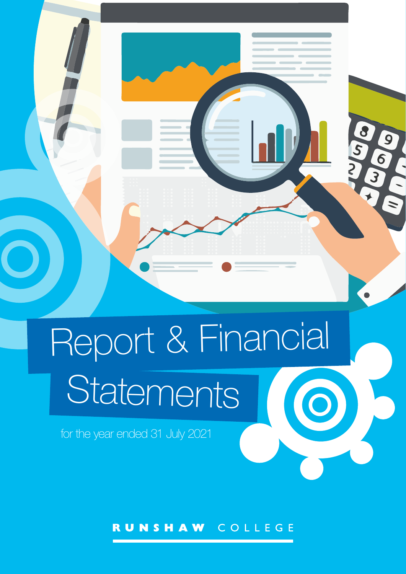# Report & Financial **Statements** O)

for the year ended 31 July 2021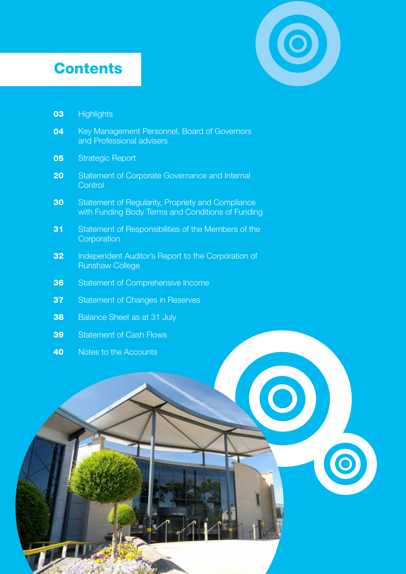

## **Contents**

- **Highlights** 03
- Key Management Personnel, Board of Governors and Professional advisers 04
- Strategic Report 05
- Statement of Corporate Governance and Internal **Control** 20
- Statement of Regularity, Propriety and Compliance with Funding Body Terms and Conditions of Funding 30
- Statement of Responsibilities of the Members of the **Corporation** 31
- Independent Auditor's Report to the Corporation of Runshaw College 32
- Statement of Comprehensive Income 36
- Statement of Changes in Reserves 37
- Balance Sheet as at 31 July 38
- Statement of Cash Flows 39
- Notes to the Accounts 40

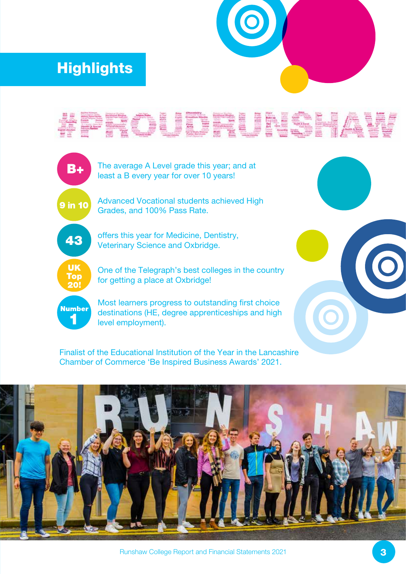## **Highlights**

# PROUDRUM NÁV



The average A Level grade this year; and at least a B every year for over 10 years!

Advanced Vocational students achieved High Grades, and 100% Pass Rate.

offers this year for Medicine, Dentistry, Veterinary Science and Oxbridge.

One of the Telegraph's best colleges in the country for getting a place at Oxbridge!

Most learners progress to outstanding first choice destinations (HE, degree apprenticeships and high level employment).

Finalist of the Educational Institution of the Year in the Lancashire Chamber of Commerce 'Be Inspired Business Awards' 2021.



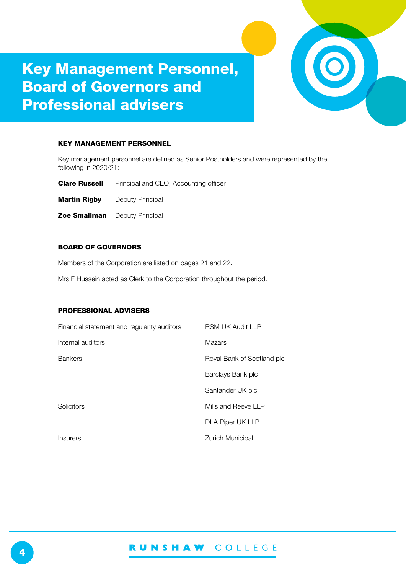# Key Management Personnel, Board of Governors and Professional advisers

#### KEY MANAGEMENT PERSONNEL

Key management personnel are defined as Senior Postholders and were represented by the following in 2020/21:

O

**Clare Russell** Principal and CEO; Accounting officer

**Martin Rigby** Deputy Principal

**Zoe Smallman** Deputy Principal

#### BOARD OF GOVERNORS

Members of the Corporation are listed on pages 21 and 22.

Mrs F Hussein acted as Clerk to the Corporation throughout the period.

#### PROFESSIONAL ADVISERS

| Financial statement and regularity auditors | <b>RSM UK Audit LLP</b>    |
|---------------------------------------------|----------------------------|
| Internal auditors                           | Mazars                     |
| <b>Bankers</b>                              | Royal Bank of Scotland plc |
|                                             | Barclays Bank plc          |
|                                             | Santander UK plc           |
| <b>Solicitors</b>                           | Mills and Reeve LLP        |
|                                             | DLA Piper UK LLP           |
| <b>Insurers</b>                             | <b>Zurich Municipal</b>    |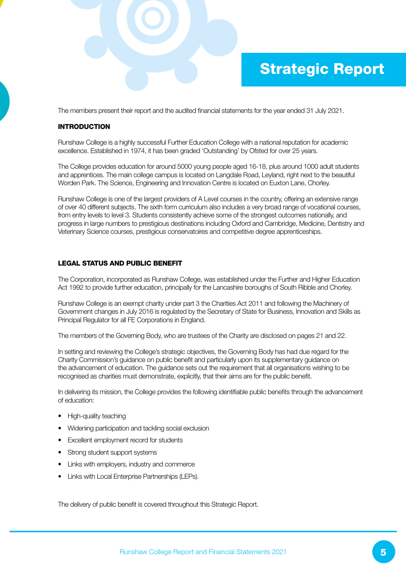The members present their report and the audited financial statements for the year ended 31 July 2021.

#### INTRODUCTION

Runshaw College is a highly successful Further Education College with a national reputation for academic excellence. Established in 1974, it has been graded 'Outstanding' by Ofsted for over 25 years.

The College provides education for around 5000 young people aged 16-18, plus around 1000 adult students and apprentices. The main college campus is located on Langdale Road, Leyland, right next to the beautiful Worden Park. The Science, Engineering and Innovation Centre is located on Euxton Lane, Chorley.

Runshaw College is one of the largest providers of A Level courses in the country, offering an extensive range of over 40 different subjects. The sixth form curriculum also includes a very broad range of vocational courses, from entry levels to level 3. Students consistently achieve some of the strongest outcomes nationally, and progress in large numbers to prestigious destinations including Oxford and Cambridge, Medicine, Dentistry and Veterinary Science courses, prestigious conservatoires and competitive degree apprenticeships.

#### LEGAL STATUS AND PUBLIC BENEFIT

The Corporation, incorporated as Runshaw College, was established under the Further and Higher Education Act 1992 to provide further education, principally for the Lancashire boroughs of South Ribble and Chorley.

Runshaw College is an exempt charity under part 3 the Charities Act 2011 and following the Machinery of Government changes in July 2016 is regulated by the Secretary of State for Business, Innovation and Skills as Principal Regulator for all FE Corporations in England.

The members of the Governing Body, who are trustees of the Charity are disclosed on pages 21 and 22.

In setting and reviewing the College's strategic objectives, the Governing Body has had due regard for the Charity Commission's guidance on public benefit and particularly upon its supplementary guidance on the advancement of education. The guidance sets out the requirement that all organisations wishing to be recognised as charities must demonstrate, explicitly, that their aims are for the public benefit.

In delivering its mission, the College provides the following identifiable public benefits through the advancement of education:

- High-quality teaching
- Widening participation and tackling social exclusion
- **Excellent employment record for students**
- Strong student support systems
- Links with employers, industry and commerce
- Links with Local Enterprise Partnerships (LEPs).

The delivery of public benefit is covered throughout this Strategic Report.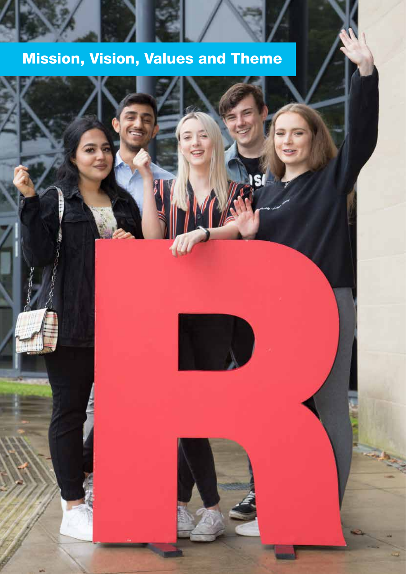# Mission, Vision, Values and Theme

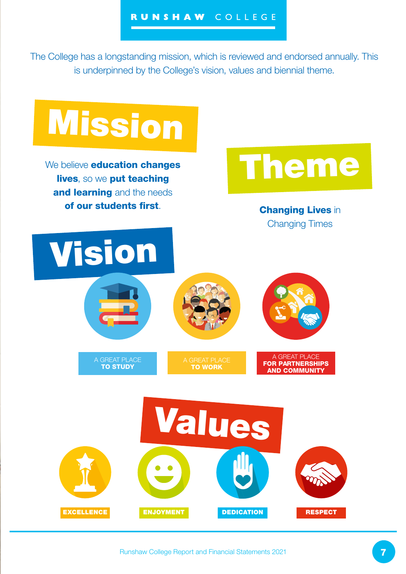The College has a longstanding mission, which is reviewed and endorsed annually. This is underpinned by the College's vision, values and biennial theme.

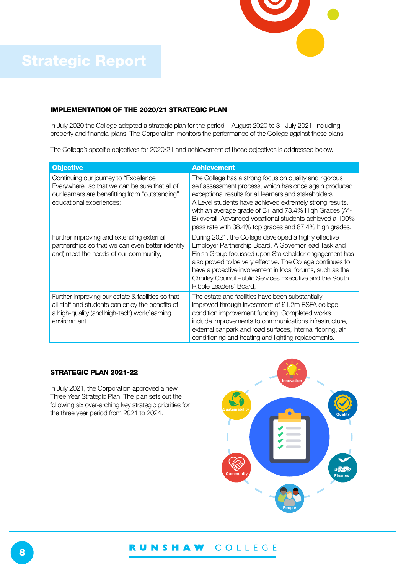

#### IMPLEMENTATION OF THE 2020/21 STRATEGIC PLAN

In July 2020 the College adopted a strategic plan for the period 1 August 2020 to 31 July 2021, including property and financial plans. The Corporation monitors the performance of the College against these plans.

The College's specific objectives for 2020/21 and achievement of those objectives is addressed below.

| <b>Objective</b>                                                                                                                                                        | <b>Achievement</b>                                                                                                                                                                                                                                                                                                                                                                                                     |
|-------------------------------------------------------------------------------------------------------------------------------------------------------------------------|------------------------------------------------------------------------------------------------------------------------------------------------------------------------------------------------------------------------------------------------------------------------------------------------------------------------------------------------------------------------------------------------------------------------|
| Continuing our journey to "Excellence"<br>Everywhere" so that we can be sure that all of<br>our learners are benefitting from "outstanding"<br>educational experiences; | The College has a strong focus on quality and rigorous<br>self assessment process, which has once again produced<br>exceptional results for all learners and stakeholders.<br>A Level students have achieved extremely strong results,<br>with an average grade of B+ and 73.4% High Grades (A*-<br>B) overall. Advanced Vocational students achieved a 100%<br>pass rate with 38.4% top grades and 87.4% high grades. |
| Further improving and extending external<br>partnerships so that we can even better (identify<br>and) meet the needs of our community;                                  | During 2021, the College developed a highly effective<br>Employer Partnership Board. A Governor lead Task and<br>Finish Group focussed upon Stakeholder engagement has<br>also proved to be very effective. The College continues to<br>have a proactive involvement in local forums, such as the<br>Chorley Council Public Services Executive and the South<br>Ribble Leaders' Board,                                 |
| Further improving our estate & facilities so that<br>all staff and students can enjoy the benefits of<br>a high-quality (and high-tech) work/learning<br>environment.   | The estate and facilities have been substantially<br>improved through investment of £1.2m ESFA college<br>condition improvement funding. Completed works<br>include improvements to communications infrastructure,<br>external car park and road surfaces, internal flooring, air<br>conditioning and heating and lighting replacements.                                                                               |

#### STRATEGIC PLAN 2021-22

In July 2021, the Corporation approved a new Three Year Strategic Plan. The plan sets out the following six over-arching key strategic priorities for the three year period from 2021 to 2024.

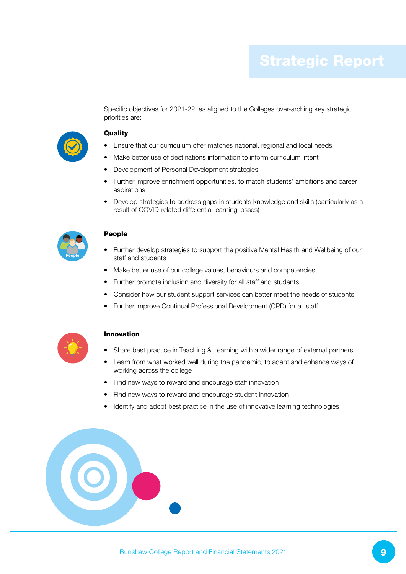Specific objectives for 2021-22, as aligned to the Colleges over-arching key strategic priorities are:



#### **Quality**

- Ensure that our curriculum offer matches national, regional and local needs
- Make better use of destinations information to inform curriculum intent
- Development of Personal Development strategies
- Further improve enrichment opportunities, to match students' ambitions and career aspirations
- Develop strategies to address gaps in students knowledge and skills (particularly as a result of COVID-related differential learning losses)



#### People

- Further develop strategies to support the positive Mental Health and Wellbeing of our staff and students
- Make better use of our college values, behaviours and competencies
- Further promote inclusion and diversity for all staff and students
- Consider how our student support services can better meet the needs of students
- Further improve Continual Professional Development (CPD) for all staff.



#### Innovation

- Share best practice in Teaching & Learning with a wider range of external partners
- Learn from what worked well during the pandemic, to adapt and enhance ways of working across the college
- Find new ways to reward and encourage staff innovation
- Find new ways to reward and encourage student innovation
- Identify and adopt best practice in the use of innovative learning technologies

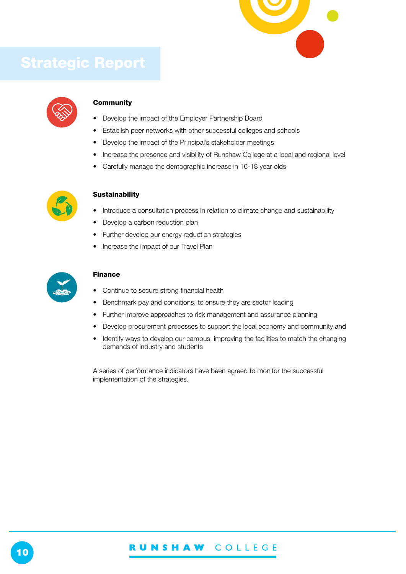



#### **Community**

- Develop the impact of the Employer Partnership Board
- Establish peer networks with other successful colleges and schools
- Develop the impact of the Principal's stakeholder meetings
- Increase the presence and visibility of Runshaw College at a local and regional level
- Carefully manage the demographic increase in 16-18 year olds



#### **Sustainability**

- Introduce a consultation process in relation to climate change and sustainability
- Develop a carbon reduction plan
- Further develop our energy reduction strategies
- Increase the impact of our Travel Plan



#### Finance

- Continue to secure strong financial health
- Benchmark pay and conditions, to ensure they are sector leading
- Further improve approaches to risk management and assurance planning
- Develop procurement processes to support the local economy and community and
- Identify ways to develop our campus, improving the facilities to match the changing demands of industry and students

A series of performance indicators have been agreed to monitor the successful implementation of the strategies.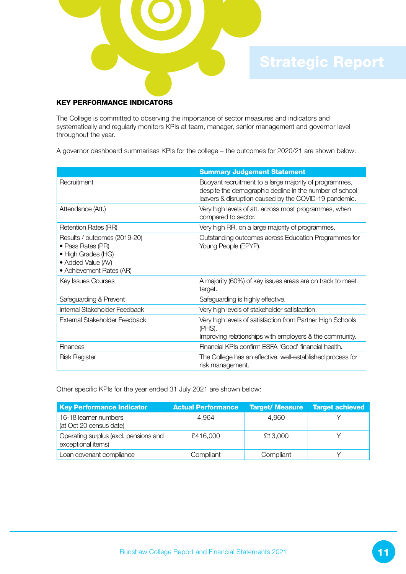

#### KEY PERFORMANCE INDICATORS

The College is committed to observing the importance of sector measures and indicators and systematically and regularly monitors KPIs at team, manager, senior management and governor level throughout the year.

A governor dashboard summarises KPIs for the college – the outcomes for 2020/21 are shown below:

|                                                                                                                           | <b>Summary Judgement Statement</b>                                                                                                                                         |
|---------------------------------------------------------------------------------------------------------------------------|----------------------------------------------------------------------------------------------------------------------------------------------------------------------------|
| Recruitment                                                                                                               | Buoyant recruitment to a large majority of programmes,<br>despite the demographic decline in the number of school<br>leavers & disruption caused by the COVID-19 pandemic. |
| Attendance (Att.)                                                                                                         | Very high levels of att. across most programmes, when<br>compared to sector.                                                                                               |
| Retention Rates (RR)                                                                                                      | Very high RR. on a large majority of programmes.                                                                                                                           |
| Results / outcomes (2019-20)<br>• Pass Rates (PR)<br>• High Grades (HG)<br>• Added Value (AV)<br>• Achievement Rates (AR) | Outstanding outcomes across Education Programmes for<br>Young People (EPYP).                                                                                               |
| Key Issues Courses                                                                                                        | A majority (60%) of key issues areas are on track to meet<br>target.                                                                                                       |
| Safeguarding & Prevent                                                                                                    | Safeguarding is highly effective.                                                                                                                                          |
| Internal Stakeholder Feedback                                                                                             | Very high levels of stakeholder satisfaction.                                                                                                                              |
| External Stakeholder Feedback                                                                                             | Very high levels of satisfaction from Partner High Schools<br>(PHS).<br>Improving relationships with employers & the community.                                            |
| Finances                                                                                                                  | Financial KPIs confirm ESFA 'Good' financial health.                                                                                                                       |
| <b>Risk Register</b>                                                                                                      | The College has an effective, well-established process for<br>risk management.                                                                                             |

Other specific KPIs for the year ended 31 July 2021 are shown below:

| <b>Key Performance Indicator</b>                            | <b>Actual Performance</b> | <b>Target/ Measure</b> | <b>Target achieved</b> |
|-------------------------------------------------------------|---------------------------|------------------------|------------------------|
| 16-18 learner numbers<br>(at Oct 20 census date)            | 4.964                     | 4.960                  |                        |
| Operating surplus (excl. pensions and<br>exceptional items) | £416,000                  | £13,000                |                        |
| Loan covenant compliance                                    | Compliant                 | Compliant              |                        |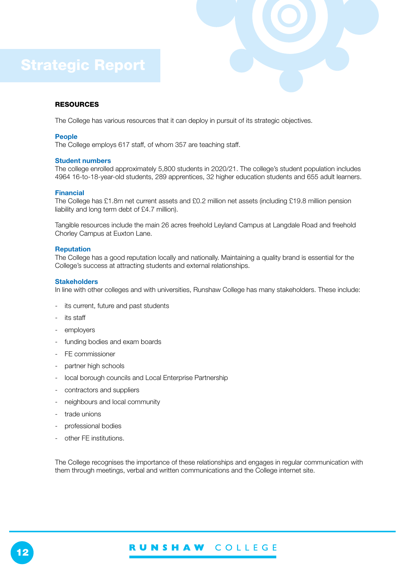

#### RESOURCES

The College has various resources that it can deploy in pursuit of its strategic objectives.

#### People

The College employs 617 staff, of whom 357 are teaching staff.

#### Student numbers

The college enrolled approximately 5,800 students in 2020/21. The college's student population includes 4964 16-to-18-year-old students, 289 apprentices, 32 higher education students and 655 adult learners.

#### Financial

The College has £1.8m net current assets and £0.2 million net assets (including £19.8 million pension liability and long term debt of £4.7 million).

Tangible resources include the main 26 acres freehold Leyland Campus at Langdale Road and freehold Chorley Campus at Euxton Lane.

#### **Reputation**

The College has a good reputation locally and nationally. Maintaining a quality brand is essential for the College's success at attracting students and external relationships.

#### **Stakeholders**

In line with other colleges and with universities, Runshaw College has many stakeholders. These include:

- its current, future and past students
- its staff
- employers
- funding bodies and exam boards
- FE commissioner
- partner high schools
- local borough councils and Local Enterprise Partnership
- contractors and suppliers
- neighbours and local community
- trade unions
- professional bodies
- other FE institutions.

The College recognises the importance of these relationships and engages in regular communication with them through meetings, verbal and written communications and the College internet site.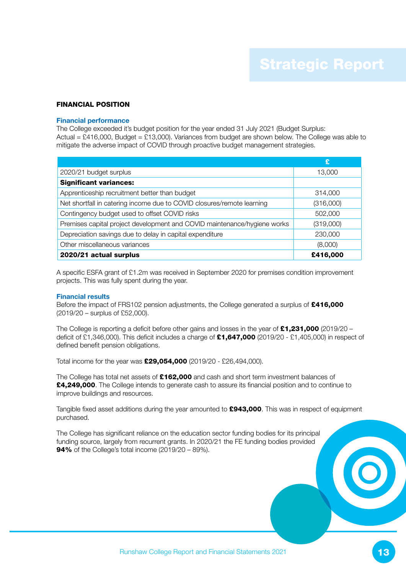#### FINANCIAL POSITION

#### Financial performance

The College exceeded it's budget position for the year ended 31 July 2021 (Budget Surplus: Actual = £416,000, Budget = £13,000). Variances from budget are shown below. The College was able to mitigate the adverse impact of COVID through proactive budget management strategies.

|                                                                          | £         |
|--------------------------------------------------------------------------|-----------|
| 2020/21 budget surplus                                                   | 13,000    |
| <b>Significant variances:</b>                                            |           |
| Apprenticeship recruitment better than budget                            | 314,000   |
| Net shortfall in catering income due to COVID closures/remote learning   | (316,000) |
| Contingency budget used to offset COVID risks                            | 502,000   |
| Premises capital project development and COVID maintenance/hygiene works | (319,000) |
| Depreciation savings due to delay in capital expenditure                 | 230,000   |
| Other miscellaneous variances                                            | (8,000)   |
| 2020/21 actual surplus                                                   | £416,000  |

A specific ESFA grant of £1.2m was received in September 2020 for premises condition improvement projects. This was fully spent during the year.

#### Financial results

Before the impact of FRS102 pension adjustments, the College generated a surplus of £416,000 (2019/20 – surplus of £52,000).

The College is reporting a deficit before other gains and losses in the year of  $\pounds1,231,000$  (2019/20 – deficit of £1,346,000). This deficit includes a charge of  $£1,647,000$  (2019/20 - £1,405,000) in respect of defined benefit pension obligations.

Total income for the year was £29,054,000 (2019/20 - £26,494,000).

The College has total net assets of **£162,000** and cash and short term investment balances of £4,249,000. The College intends to generate cash to assure its financial position and to continue to improve buildings and resources.

Tangible fixed asset additions during the year amounted to **£943,000**. This was in respect of equipment purchased.

The College has significant reliance on the education sector funding bodies for its principal funding source, largely from recurrent grants. In 2020/21 the FE funding bodies provided 94% of the College's total income (2019/20 – 89%).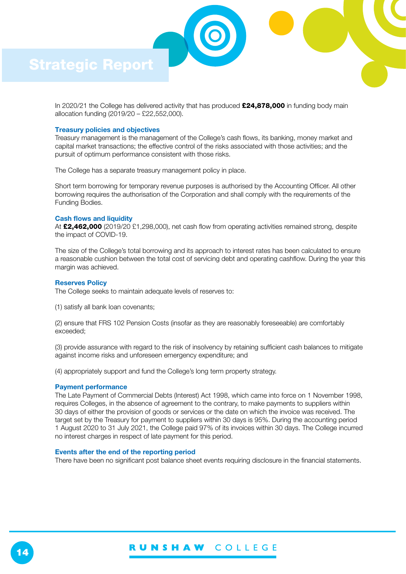In 2020/21 the College has delivered activity that has produced £24,878,000 in funding body main allocation funding (2019/20 – £22,552,000).

#### Treasury policies and objectives

Treasury management is the management of the College's cash flows, its banking, money market and capital market transactions; the effective control of the risks associated with those activities; and the pursuit of optimum performance consistent with those risks.

The College has a separate treasury management policy in place.

Short term borrowing for temporary revenue purposes is authorised by the Accounting Officer. All other borrowing requires the authorisation of the Corporation and shall comply with the requirements of the Funding Bodies.

#### Cash flows and liquidity

At £2,462,000 (2019/20 £1,298,000), net cash flow from operating activities remained strong, despite the impact of COVID-19.

The size of the College's total borrowing and its approach to interest rates has been calculated to ensure a reasonable cushion between the total cost of servicing debt and operating cashflow. During the year this margin was achieved.

#### Reserves Policy

The College seeks to maintain adequate levels of reserves to:

(1) satisfy all bank loan covenants;

(2) ensure that FRS 102 Pension Costs (insofar as they are reasonably foreseeable) are comfortably exceeded;

(3) provide assurance with regard to the risk of insolvency by retaining sufficient cash balances to mitigate against income risks and unforeseen emergency expenditure; and

(4) appropriately support and fund the College's long term property strategy.

#### Payment performance

The Late Payment of Commercial Debts (Interest) Act 1998, which came into force on 1 November 1998, requires Colleges, in the absence of agreement to the contrary, to make payments to suppliers within 30 days of either the provision of goods or services or the date on which the invoice was received. The target set by the Treasury for payment to suppliers within 30 days is 95%. During the accounting period 1 August 2020 to 31 July 2021, the College paid 97% of its invoices within 30 days. The College incurred no interest charges in respect of late payment for this period.

#### Events after the end of the reporting period

There have been no significant post balance sheet events requiring disclosure in the financial statements.

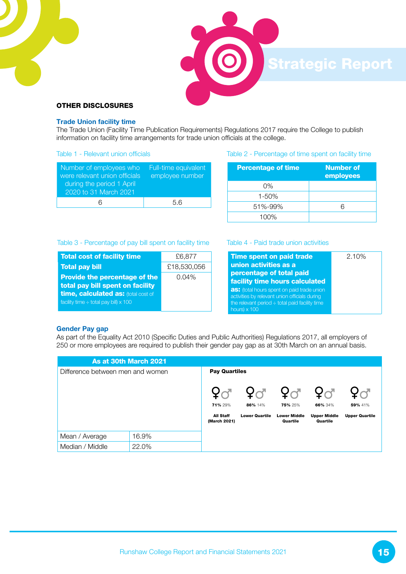

#### OTHER DISCLOSURES

#### Trade Union facility time

The Trade Union (Facility Time Publication Requirements) Regulations 2017 require the College to publish information on facility time arrangements for trade union officials at the college.

|  |  | Table 1 - Relevant union officials |
|--|--|------------------------------------|
|  |  |                                    |

| Number of employees who<br>were relevant union officials<br>during the period 1 April<br>2020 to 31 March 2021 | Full-time equivalent<br>employee number |
|----------------------------------------------------------------------------------------------------------------|-----------------------------------------|
|                                                                                                                | 56                                      |

#### Table 2 - Percentage of time spent on facility time

| <b>Percentage of time</b> | <b>Number of</b><br>employees |
|---------------------------|-------------------------------|
| $0\%$                     |                               |
| 1-50%                     |                               |
| 51%-99%                   |                               |
| $100\%$                   |                               |

#### Table 3 - Percentage of pay bill spent on facility time Table 4 - Paid trade union activities

| <b>Total cost of facility time</b>                                                                                                                                          | £6,877      |
|-----------------------------------------------------------------------------------------------------------------------------------------------------------------------------|-------------|
| Total pay bill                                                                                                                                                              | £18,530,056 |
| <b>Provide the percentage of the</b><br>total pay bill spent on facility<br><b>time, calculated as: (total cost of</b><br>facility time $\div$ total pay bill) $\times$ 100 | $0.04\%$    |

| <b>Time spent on paid trade</b><br>union activities as a<br>percentage of total paid<br>facility time hours calculated                                                           | 2.10% |
|----------------------------------------------------------------------------------------------------------------------------------------------------------------------------------|-------|
| <b>as:</b> (total hours spent on paid trade union<br>activities by relevant union officials during<br>the relevant period $\div$ total paid facility time<br>hours) $\times$ 100 |       |

#### Gender Pay gap

As part of the Equality Act 2010 (Specific Duties and Public Authorities) Regulations 2017, all employers of 250 or more employees are required to publish their gender pay gap as at 30th March on an annual basis.

|                                  | As at 30th March 2021 |                                  |                       |                                 |                                 |                       |
|----------------------------------|-----------------------|----------------------------------|-----------------------|---------------------------------|---------------------------------|-----------------------|
| Difference between men and women |                       | <b>Pay Quartiles</b>             |                       |                                 |                                 |                       |
|                                  |                       | 71% 29%                          | 86% 14%               | 75% 25%                         | 66% 34%                         | 59% 41%               |
|                                  |                       | <b>All Staff</b><br>(March 2021) | <b>Lower Quartile</b> | <b>Lower Middle</b><br>Quartile | <b>Upper Middle</b><br>Quartile | <b>Upper Quartile</b> |
| Mean / Average                   | 16.9%                 |                                  |                       |                                 |                                 |                       |
| Median / Middle                  | 22.0%                 |                                  |                       |                                 |                                 |                       |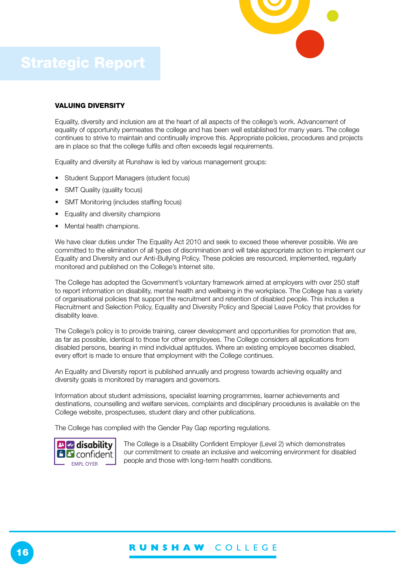

#### VALUING DIVERSITY

Equality, diversity and inclusion are at the heart of all aspects of the college's work. Advancement of equality of opportunity permeates the college and has been well established for many years. The college continues to strive to maintain and continually improve this. Appropriate policies, procedures and projects are in place so that the college fulfils and often exceeds legal requirements.

Equality and diversity at Runshaw is led by various management groups:

- Student Support Managers (student focus)
- SMT Quality (quality focus)
- SMT Monitoring (includes staffing focus)
- Equality and diversity champions
- Mental health champions.

We have clear duties under The Equality Act 2010 and seek to exceed these wherever possible. We are committed to the elimination of all types of discrimination and will take appropriate action to implement our Equality and Diversity and our Anti-Bullying Policy. These policies are resourced, implemented, regularly monitored and published on the College's Internet site.

The College has adopted the Government's voluntary framework aimed at employers with over 250 staff to report information on disability, mental health and wellbeing in the workplace. The College has a variety of organisational policies that support the recruitment and retention of disabled people. This includes a Recruitment and Selection Policy, Equality and Diversity Policy and Special Leave Policy that provides for disability leave.

The College's policy is to provide training, career development and opportunities for promotion that are, as far as possible, identical to those for other employees. The College considers all applications from disabled persons, bearing in mind individual aptitudes. Where an existing employee becomes disabled, every effort is made to ensure that employment with the College continues.

An Equality and Diversity report is published annually and progress towards achieving equality and diversity goals is monitored by managers and governors.

Information about student admissions, specialist learning programmes, learner achievements and destinations, counselling and welfare services, complaints and disciplinary procedures is available on the College website, prospectuses, student diary and other publications.

The College has complied with the Gender Pay Gap reporting regulations.



The College is a Disability Confident Employer (Level 2) which demonstrates our commitment to create an inclusive and welcoming environment for disabled **P** confident our commitment to create an inclusive and welcom<br>
FILED OVER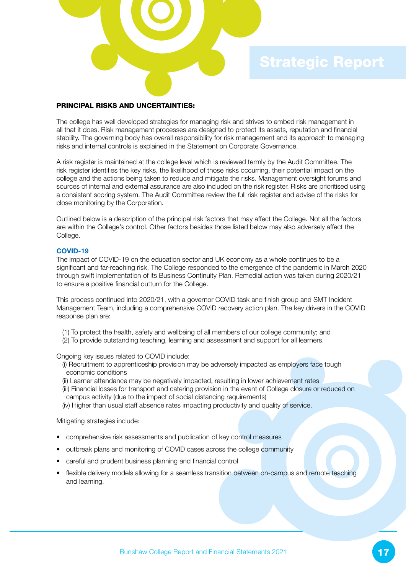

#### PRINCIPAL RISKS AND UNCERTAINTIES:

The college has well developed strategies for managing risk and strives to embed risk management in all that it does. Risk management processes are designed to protect its assets, reputation and financial stability. The governing body has overall responsibility for risk management and its approach to managing risks and internal controls is explained in the Statement on Corporate Governance.

A risk register is maintained at the college level which is reviewed termly by the Audit Committee. The risk register identifies the key risks, the likelihood of those risks occurring, their potential impact on the college and the actions being taken to reduce and mitigate the risks. Management oversight forums and sources of internal and external assurance are also included on the risk register. Risks are prioritised using a consistent scoring system. The Audit Committee review the full risk register and advise of the risks for close monitoring by the Corporation.

Outlined below is a description of the principal risk factors that may affect the College. Not all the factors are within the College's control. Other factors besides those listed below may also adversely affect the College.

#### COVID-19

The impact of COVID-19 on the education sector and UK economy as a whole continues to be a significant and far-reaching risk. The College responded to the emergence of the pandemic in March 2020 through swift implementation of its Business Continuity Plan. Remedial action was taken during 2020/21 to ensure a positive financial outturn for the College.

This process continued into 2020/21, with a governor COVID task and finish group and SMT Incident Management Team, including a comprehensive COVID recovery action plan. The key drivers in the COVID response plan are:

- (1) To protect the health, safety and wellbeing of all members of our college community; and
- (2) To provide outstanding teaching, learning and assessment and support for all learners.

Ongoing key issues related to COVID include:

- (i) Recruitment to apprenticeship provision may be adversely impacted as employers face tough economic conditions
- (ii) Learner attendance may be negatively impacted, resulting in lower achievement rates
- (iii) Financial losses for transport and catering provision in the event of College closure or reduced on campus activity (due to the impact of social distancing requirements)
- (iv) Higher than usual staff absence rates impacting productivity and quality of service.

Mitigating strategies include:

- comprehensive risk assessments and publication of key control measures
- outbreak plans and monitoring of COVID cases across the college community
- careful and prudent business planning and financial control
- flexible delivery models allowing for a seamless transition between on-campus and remote teaching and learning.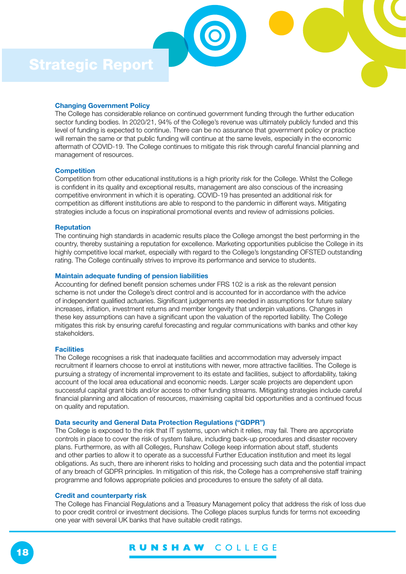#### Changing Government Policy

The College has considerable reliance on continued government funding through the further education sector funding bodies. In 2020/21, 94% of the College's revenue was ultimately publicly funded and this level of funding is expected to continue. There can be no assurance that government policy or practice will remain the same or that public funding will continue at the same levels, especially in the economic aftermath of COVID-19. The College continues to mitigate this risk through careful financial planning and management of resources.

#### **Competition**

Competition from other educational institutions is a high priority risk for the College. Whilst the College is confident in its quality and exceptional results, management are also conscious of the increasing competitive environment in which it is operating. COVID-19 has presented an additional risk for competition as different institutions are able to respond to the pandemic in different ways. Mitigating strategies include a focus on inspirational promotional events and review of admissions policies.

#### **Reputation**

The continuing high standards in academic results place the College amongst the best performing in the country, thereby sustaining a reputation for excellence. Marketing opportunities publicise the College in its highly competitive local market, especially with regard to the College's longstanding OFSTED outstanding rating. The College continually strives to improve its performance and service to students.

#### Maintain adequate funding of pension liabilities

Accounting for defined benefit pension schemes under FRS 102 is a risk as the relevant pension scheme is not under the College's direct control and is accounted for in accordance with the advice of independent qualified actuaries. Significant judgements are needed in assumptions for future salary increases, inflation, investment returns and member longevity that underpin valuations. Changes in these key assumptions can have a significant upon the valuation of the reported liability. The College mitigates this risk by ensuring careful forecasting and regular communications with banks and other key stakeholders.

#### **Facilities**

The College recognises a risk that inadequate facilities and accommodation may adversely impact recruitment if learners choose to enrol at institutions with newer, more attractive facilities. The College is pursuing a strategy of incremental improvement to its estate and facilities, subject to affordability, taking account of the local area educational and economic needs. Larger scale projects are dependent upon successful capital grant bids and/or access to other funding streams. Mitigating strategies include careful financial planning and allocation of resources, maximising capital bid opportunities and a continued focus on quality and reputation.

#### Data security and General Data Protection Regulations ("GDPR")

The College is exposed to the risk that IT systems, upon which it relies, may fail. There are appropriate controls in place to cover the risk of system failure, including back-up procedures and disaster recovery plans. Furthermore, as with all Colleges, Runshaw College keep information about staff, students and other parties to allow it to operate as a successful Further Education institution and meet its legal obligations. As such, there are inherent risks to holding and processing such data and the potential impact of any breach of GDPR principles. In mitigation of this risk, the College has a comprehensive staff training programme and follows appropriate policies and procedures to ensure the safety of all data.

#### Credit and counterparty risk

The College has Financial Regulations and a Treasury Management policy that address the risk of loss due to poor credit control or investment decisions. The College places surplus funds for terms not exceeding one year with several UK banks that have suitable credit ratings.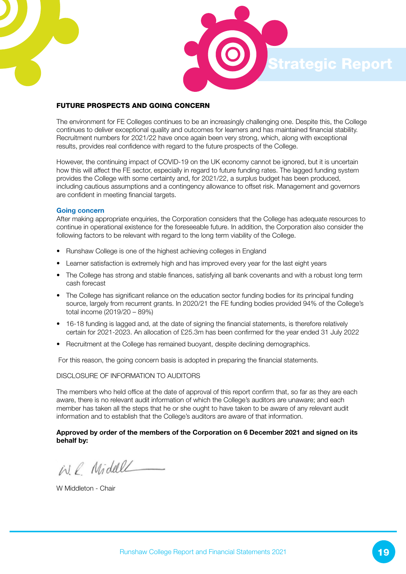



#### FUTURE PROSPECTS AND GOING CONCERN

The environment for FE Colleges continues to be an increasingly challenging one. Despite this, the College continues to deliver exceptional quality and outcomes for learners and has maintained financial stability. Recruitment numbers for 2021/22 have once again been very strong, which, along with exceptional results, provides real confidence with regard to the future prospects of the College.

However, the continuing impact of COVID-19 on the UK economy cannot be ignored, but it is uncertain how this will affect the FE sector, especially in regard to future funding rates. The lagged funding system provides the College with some certainty and, for 2021/22, a surplus budget has been produced, including cautious assumptions and a contingency allowance to offset risk. Management and governors are confident in meeting financial targets.

#### Going concern

After making appropriate enquiries, the Corporation considers that the College has adequate resources to continue in operational existence for the foreseeable future. In addition, the Corporation also consider the following factors to be relevant with regard to the long term viability of the College.

- Runshaw College is one of the highest achieving colleges in England
- Learner satisfaction is extremely high and has improved every year for the last eight years
- The College has strong and stable finances, satisfying all bank covenants and with a robust long term cash forecast
- The College has significant reliance on the education sector funding bodies for its principal funding source, largely from recurrent grants. In 2020/21 the FE funding bodies provided 94% of the College's total income (2019/20 – 89%)
- 16-18 funding is lagged and, at the date of signing the financial statements, is therefore relatively certain for 2021-2023. An allocation of £25.3m has been confirmed for the year ended 31 July 2022
- Recruitment at the College has remained buoyant, despite declining demographics.

For this reason, the going concern basis is adopted in preparing the financial statements.

#### DISCLOSURE OF INFORMATION TO AUDITORS

The members who held office at the date of approval of this report confirm that, so far as they are each aware, there is no relevant audit information of which the College's auditors are unaware; and each member has taken all the steps that he or she ought to have taken to be aware of any relevant audit information and to establish that the College's auditors are aware of that information.

#### Approved by order of the members of the Corporation on 6 December 2021 and signed on its behalf by:

W. R. Midell

W Middleton - Chair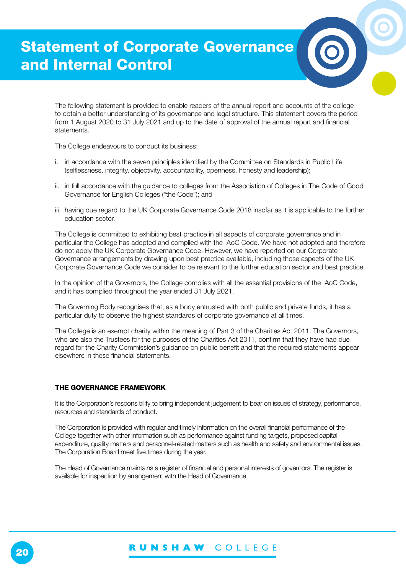## Statement of Corporate Governance and Internal Control

The following statement is provided to enable readers of the annual report and accounts of the college to obtain a better understanding of its governance and legal structure. This statement covers the period from 1 August 2020 to 31 July 2021 and up to the date of approval of the annual report and financial statements.

The College endeavours to conduct its business:

- i. in accordance with the seven principles identified by the Committee on Standards in Public Life (selflessness, integrity, objectivity, accountability, openness, honesty and leadership);
- ii. in full accordance with the guidance to colleges from the Association of Colleges in The Code of Good Governance for English Colleges ("the Code"); and
- iii. having due regard to the UK Corporate Governance Code 2018 insofar as it is applicable to the further education sector.

The College is committed to exhibiting best practice in all aspects of corporate governance and in particular the College has adopted and complied with the AoC Code. We have not adopted and therefore do not apply the UK Corporate Governance Code. However, we have reported on our Corporate Governance arrangements by drawing upon best practice available, including those aspects of the UK Corporate Governance Code we consider to be relevant to the further education sector and best practice.

In the opinion of the Governors, the College complies with all the essential provisions of the AoC Code, and it has complied throughout the year ended 31 July 2021.

The Governing Body recognises that, as a body entrusted with both public and private funds, it has a particular duty to observe the highest standards of corporate governance at all times.

The College is an exempt charity within the meaning of Part 3 of the Charities Act 2011. The Governors, who are also the Trustees for the purposes of the Charities Act 2011, confirm that they have had due regard for the Charity Commission's guidance on public benefit and that the required statements appear elsewhere in these financial statements.

#### THE GOVERNANCE FRAMEWORK

It is the Corporation's responsibility to bring independent judgement to bear on issues of strategy, performance, resources and standards of conduct.

The Corporation is provided with regular and timely information on the overall financial performance of the College together with other information such as performance against funding targets, proposed capital expenditure, quality matters and personnel-related matters such as health and safety and environmental issues. The Corporation Board meet five times during the year.

The Head of Governance maintains a register of financial and personal interests of governors. The register is available for inspection by arrangement with the Head of Governance.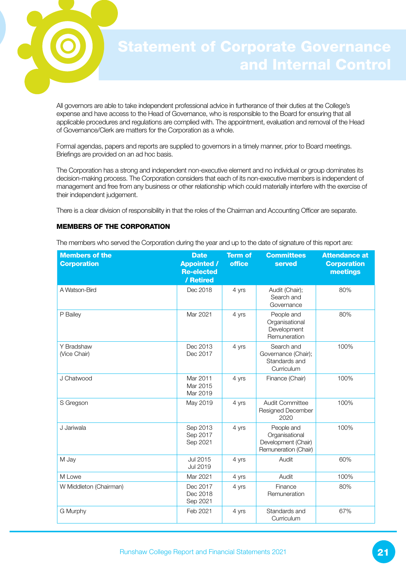

All governors are able to take independent professional advice in furtherance of their duties at the College's expense and have access to the Head of Governance, who is responsible to the Board for ensuring that all applicable procedures and regulations are complied with. The appointment, evaluation and removal of the Head of Governance/Clerk are matters for the Corporation as a whole.

Formal agendas, papers and reports are supplied to governors in a timely manner, prior to Board meetings. Briefings are provided on an ad hoc basis.

The Corporation has a strong and independent non-executive element and no individual or group dominates its decision-making process. The Corporation considers that each of its non-executive members is independent of management and free from any business or other relationship which could materially interfere with the exercise of their independent judgement.

There is a clear division of responsibility in that the roles of the Chairman and Accounting Officer are separate.

#### MEMBERS OF THE CORPORATION

The members who served the Corporation during the year and up to the date of signature of this report are:

| <b>Members of the</b><br><b>Corporation</b> | <b>Date</b><br><b>Appointed /</b><br><b>Re-elected</b><br>/ Retired | <b>Term of</b><br>office | <b>Committees</b><br>served                                                 | <b>Attendance at</b><br><b>Corporation</b><br>meetings |
|---------------------------------------------|---------------------------------------------------------------------|--------------------------|-----------------------------------------------------------------------------|--------------------------------------------------------|
| A Watson-Bird                               | Dec 2018                                                            | 4 yrs                    | Audit (Chair);<br>Search and<br>Governance                                  | 80%                                                    |
| P Bailey                                    | Mar 2021                                                            | 4 yrs                    | People and<br>Organisational<br>Development<br>Remuneration                 | 80%                                                    |
| Y Bradshaw<br>(Vice Chair)                  | Dec 2013<br>Dec 2017                                                | 4 yrs                    | Search and<br>Governance (Chair);<br>Standards and<br>Curriculum            | 100%                                                   |
| J Chatwood                                  | Mar 2011<br>Mar 2015<br>Mar 2019                                    | 4 yrs                    | Finance (Chair)                                                             | 100%                                                   |
| S Gregson                                   | May 2019                                                            | 4 yrs                    | Audit Committee<br>Resigned December<br>2020                                | 100%                                                   |
| J Jariwala                                  | Sep 2013<br>Sep 2017<br>Sep 2021                                    | 4 yrs                    | People and<br>Organisational<br>Development (Chair)<br>Remuneration (Chair) | 100%                                                   |
| M Jay                                       | Jul 2015<br><b>Jul 2019</b>                                         | 4 yrs                    | Audit                                                                       | 60%                                                    |
| M Lowe                                      | Mar 2021                                                            | 4 yrs                    | Audit                                                                       | 100%                                                   |
| W Middleton (Chairman)                      | Dec 2017<br>Dec 2018<br>Sep 2021                                    | 4 yrs                    | Finance<br>Remuneration                                                     | 80%                                                    |
| G Murphy                                    | Feb 2021                                                            | 4 yrs                    | Standards and<br>Curriculum                                                 | 67%                                                    |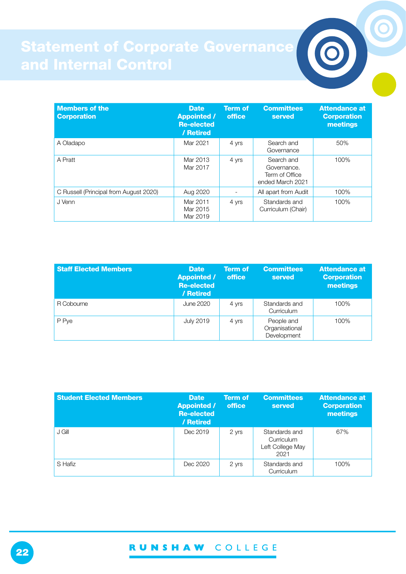# Statement of Corporate Governance

| <b>Members of the</b><br><b>Corporation</b> | Date<br><b>Appointed /</b><br><b>Re-elected</b><br>/ Retired | <b>Term of</b><br>office | <b>Committees</b><br>served                                     | <b>Attendance at</b><br><b>Corporation</b><br>meetings |
|---------------------------------------------|--------------------------------------------------------------|--------------------------|-----------------------------------------------------------------|--------------------------------------------------------|
| A Oladapo                                   | Mar 2021                                                     | 4 yrs                    | Search and<br>Governance                                        | 50%                                                    |
| A Pratt                                     | Mar 2013<br>Mar 2017                                         | 4 yrs                    | Search and<br>Governance.<br>Term of Office<br>ended March 2021 | 100%                                                   |
| C Russell (Principal from August 2020)      | Aug 2020                                                     |                          | All apart from Audit                                            | 100%                                                   |
| J Venn                                      | Mar 2011<br>Mar 2015<br>Mar 2019                             | 4 yrs                    | Standards and<br>Curriculum (Chair)                             | 100%                                                   |

| <b>Staff Elected Members</b> | <b>Date</b><br><b>Appointed /</b><br><b>Re-elected</b><br>/ Retired | <b>Term of</b><br><b>office</b> | <b>Committees</b><br>served                 | <b>Attendance at</b><br><b>Corporation</b><br>meetings |
|------------------------------|---------------------------------------------------------------------|---------------------------------|---------------------------------------------|--------------------------------------------------------|
| R Cobourne                   | June 2020                                                           | 4 yrs                           | Standards and<br>Curriculum                 | 100%                                                   |
| P Pye                        | <b>July 2019</b>                                                    | 4 yrs                           | People and<br>Organisational<br>Development | 100%                                                   |

| <b>Student Elected Members</b> | <b>Date</b><br><b>Appointed /</b><br><b>Re-elected</b><br>/ Retired | <b>Term of</b><br>office | <b>Committees</b><br>served                             | <b>Attendance at</b><br><b>Corporation</b><br>meetings |
|--------------------------------|---------------------------------------------------------------------|--------------------------|---------------------------------------------------------|--------------------------------------------------------|
| J Gill                         | Dec 2019                                                            | 2 yrs                    | Standards and<br>Curriculum<br>Left College May<br>2021 | 67%                                                    |
| S Hafiz                        | Dec 2020                                                            | 2 yrs                    | Standards and<br>Curriculum                             | 100%                                                   |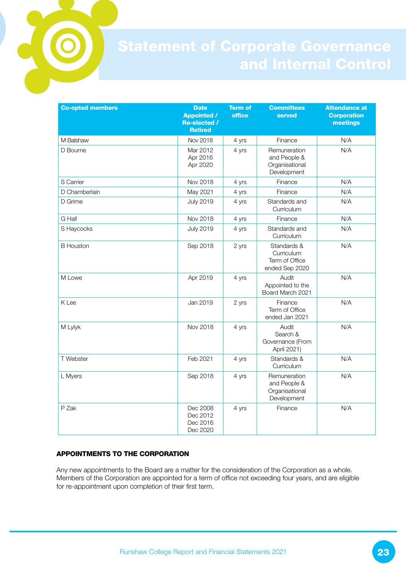| <b>Co-opted members</b> | <b>Date</b><br><b>Appointed /</b><br><b>Re-elected /</b><br><b>Retired</b> | <b>Term of</b><br>office | <b>Committees</b><br>served                                   | <b>Attendance at</b><br><b>Corporation</b><br>meetings |
|-------------------------|----------------------------------------------------------------------------|--------------------------|---------------------------------------------------------------|--------------------------------------------------------|
| M Balshaw               | Nov 2018                                                                   | 4 yrs                    | Finance                                                       | N/A                                                    |
| D Bourne                | Mar 2012<br>Apr 2016<br>Apr 2020                                           | 4 yrs                    | Remuneration<br>and People &<br>Organisational<br>Development | N/A                                                    |
| S Carrier               | Nov 2018                                                                   | 4 yrs                    | Finance                                                       | N/A                                                    |
| D Chamberlain           | May 2021                                                                   | 4 yrs                    | Finance                                                       | N/A                                                    |
| D Grime                 | <b>July 2019</b>                                                           | 4 yrs                    | Standards and<br>Curriculum                                   | N/A                                                    |
| G Hall                  | Nov 2018                                                                   | 4 yrs                    | Finance                                                       | N/A                                                    |
| S Haycocks              | <b>July 2019</b>                                                           | 4 yrs                    | Standards and<br>Curriculum                                   | N/A                                                    |
| <b>B</b> Houston        | Sep 2018                                                                   | 2 yrs                    | Standards &<br>Curriculum<br>Term of Office<br>ended Sep 2020 | N/A                                                    |
| M Lowe                  | Apr 2019                                                                   | 4 yrs                    | Audit<br>Appointed to the<br>Board March 2021                 | N/A                                                    |
| K Lee                   | Jan 2019                                                                   | 2 yrs                    | Finance<br>Term of Office<br>ended Jan 2021                   | N/A                                                    |
| M Lylyk                 | Nov 2018                                                                   | 4 yrs                    | Audit<br>Search &<br>Governance (From<br>April 2021)          | N/A                                                    |
| T Webster               | Feb 2021                                                                   | 4 yrs                    | Standards &<br>Curriculum                                     | N/A                                                    |
| L Myers                 | Sep 2018                                                                   | 4 yrs                    | Remuneration<br>and People &<br>Organisational<br>Development | N/A                                                    |
| P Zak                   | Dec 2008<br>Dec 2012<br>Dec 2016<br>Dec 2020                               | 4 yrs                    | Finance                                                       | N/A                                                    |

#### APPOINTMENTS TO THE CORPORATION

Any new appointments to the Board are a matter for the consideration of the Corporation as a whole. Members of the Corporation are appointed for a term of office not exceeding four years, and are eligible for re-appointment upon completion of their first term.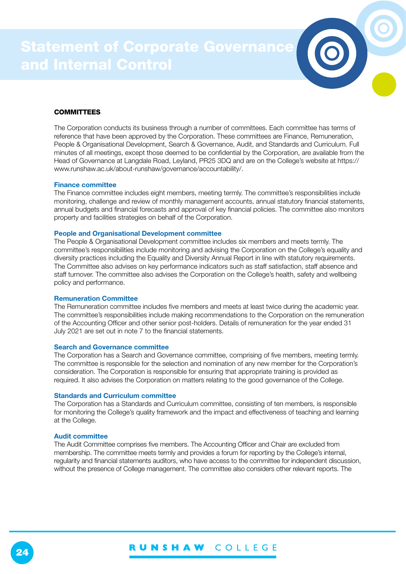

#### **COMMITTEES**

The Corporation conducts its business through a number of committees. Each committee has terms of reference that have been approved by the Corporation. These committees are Finance, Remuneration, People & Organisational Development, Search & Governance, Audit, and Standards and Curriculum. Full minutes of all meetings, except those deemed to be confidential by the Corporation, are available from the Head of Governance at Langdale Road, Leyland, PR25 3DQ and are on the College's website at https:// www.runshaw.ac.uk/about-runshaw/governance/accountability/.

#### Finance committee

The Finance committee includes eight members, meeting termly. The committee's responsibilities include monitoring, challenge and review of monthly management accounts, annual statutory financial statements, annual budgets and financial forecasts and approval of key financial policies. The committee also monitors property and facilities strategies on behalf of the Corporation.

#### People and Organisational Development committee

The People & Organisational Development committee includes six members and meets termly. The committee's responsibilities include monitoring and advising the Corporation on the College's equality and diversity practices including the Equality and Diversity Annual Report in line with statutory requirements. The Committee also advises on key performance indicators such as staff satisfaction, staff absence and staff turnover. The committee also advises the Corporation on the College's health, safety and wellbeing policy and performance.

#### Remuneration Committee

The Remuneration committee includes five members and meets at least twice during the academic year. The committee's responsibilities include making recommendations to the Corporation on the remuneration of the Accounting Officer and other senior post-holders. Details of remuneration for the year ended 31 July 2021 are set out in note 7 to the financial statements.

#### Search and Governance committee

The Corporation has a Search and Governance committee, comprising of five members, meeting termly. The committee is responsible for the selection and nomination of any new member for the Corporation's consideration. The Corporation is responsible for ensuring that appropriate training is provided as required. It also advises the Corporation on matters relating to the good governance of the College.

#### Standards and Curriculum committee

The Corporation has a Standards and Curriculum committee, consisting of ten members, is responsible for monitoring the College's quality framework and the impact and effectiveness of teaching and learning at the College.

#### Audit committee

The Audit Committee comprises five members. The Accounting Officer and Chair are excluded from membership. The committee meets termly and provides a forum for reporting by the College's internal, regularity and financial statements auditors, who have access to the committee for independent discussion, without the presence of College management. The committee also considers other relevant reports. The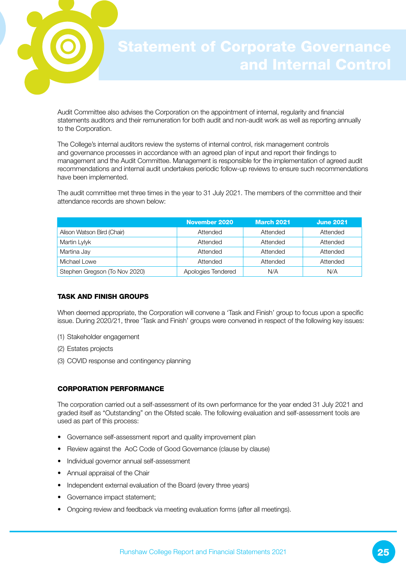

# and Internal Control

Audit Committee also advises the Corporation on the appointment of internal, regularity and financial statements auditors and their remuneration for both audit and non-audit work as well as reporting annually to the Corporation.

The College's internal auditors review the systems of internal control, risk management controls and governance processes in accordance with an agreed plan of input and report their findings to management and the Audit Committee. Management is responsible for the implementation of agreed audit recommendations and internal audit undertakes periodic follow-up reviews to ensure such recommendations have been implemented.

The audit committee met three times in the year to 31 July 2021. The members of the committee and their attendance records are shown below:

|                               | November 2020      | <b>March 2021</b> | <b>June 2021</b> |
|-------------------------------|--------------------|-------------------|------------------|
| Alison Watson Bird (Chair)    | Attended           | Attended          | Attended         |
| Martin Lylyk                  | Attended           | Attended          | Attended         |
| Martina Jay                   | Attended           | Attended          | Attended         |
| Michael Lowe                  | Attended           | Attended          | Attended         |
| Stephen Gregson (To Nov 2020) | Apologies Tendered | N/A               | N/A              |

#### TASK AND FINISH GROUPS

When deemed appropriate, the Corporation will convene a 'Task and Finish' group to focus upon a specific issue. During 2020/21, three 'Task and Finish' groups were convened in respect of the following key issues:

- (1) Stakeholder engagement
- (2) Estates projects
- (3) COVID response and contingency planning

#### CORPORATION PERFORMANCE

The corporation carried out a self-assessment of its own performance for the year ended 31 July 2021 and graded itself as "Outstanding" on the Ofsted scale. The following evaluation and self-assessment tools are used as part of this process:

- Governance self-assessment report and quality improvement plan
- Review against the AoC Code of Good Governance (clause by clause)
- Individual governor annual self-assessment
- Annual appraisal of the Chair
- Independent external evaluation of the Board (every three years)
- Governance impact statement:
- Ongoing review and feedback via meeting evaluation forms (after all meetings).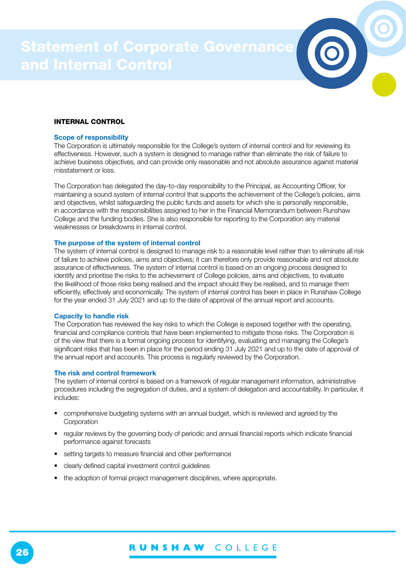#### INTERNAL CONTROL

#### Scope of responsibility

The Corporation is ultimately responsible for the College's system of internal control and for reviewing its effectiveness. However, such a system is designed to manage rather than eliminate the risk of failure to achieve business objectives, and can provide only reasonable and not absolute assurance against material misstatement or loss.

The Corporation has delegated the day-to-day responsibility to the Principal, as Accounting Officer, for maintaining a sound system of internal control that supports the achievement of the College's policies, aims and objectives, whilst safeguarding the public funds and assets for which she is personally responsible, in accordance with the responsibilities assigned to her in the Financial Memorandum between Runshaw College and the funding bodies. She is also responsible for reporting to the Corporation any material weaknesses or breakdowns in internal control.

#### The purpose of the system of internal control

The system of internal control is designed to manage risk to a reasonable level rather than to eliminate all risk of failure to achieve policies, aims and objectives; it can therefore only provide reasonable and not absolute assurance of effectiveness. The system of internal control is based on an ongoing process designed to identify and prioritise the risks to the achievement of College policies, aims and objectives, to evaluate the likelihood of those risks being realised and the impact should they be realised, and to manage them efficiently, effectively and economically. The system of internal control has been in place in Runshaw College for the year ended 31 July 2021 and up to the date of approval of the annual report and accounts.

#### Capacity to handle risk

The Corporation has reviewed the key risks to which the College is exposed together with the operating, financial and compliance controls that have been implemented to mitigate those risks. The Corporation is of the view that there is a formal ongoing process for identifying, evaluating and managing the College's significant risks that has been in place for the period ending 31 July 2021 and up to the date of approval of the annual report and accounts. This process is regularly reviewed by the Corporation.

#### The risk and control framework

The system of internal control is based on a framework of regular management information, administrative procedures including the segregation of duties, and a system of delegation and accountability. In particular, it includes:

- comprehensive budgeting systems with an annual budget, which is reviewed and agreed by the **Corporation**
- regular reviews by the governing body of periodic and annual financial reports which indicate financial performance against forecasts
- setting targets to measure financial and other performance
- clearly defined capital investment control guidelines
- the adoption of formal project management disciplines, where appropriate.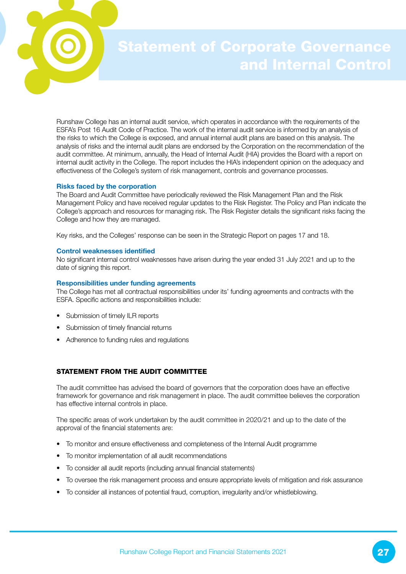

# and Internal Control

Runshaw College has an internal audit service, which operates in accordance with the requirements of the ESFA's Post 16 Audit Code of Practice. The work of the internal audit service is informed by an analysis of the risks to which the College is exposed, and annual internal audit plans are based on this analysis. The analysis of risks and the internal audit plans are endorsed by the Corporation on the recommendation of the audit committee. At minimum, annually, the Head of Internal Audit (HIA) provides the Board with a report on internal audit activity in the College. The report includes the HIA's independent opinion on the adequacy and effectiveness of the College's system of risk management, controls and governance processes.

#### Risks faced by the corporation

The Board and Audit Committee have periodically reviewed the Risk Management Plan and the Risk Management Policy and have received regular updates to the Risk Register. The Policy and Plan indicate the College's approach and resources for managing risk. The Risk Register details the significant risks facing the College and how they are managed.

Key risks, and the Colleges' response can be seen in the Strategic Report on pages 17 and 18.

#### Control weaknesses identified

No significant internal control weaknesses have arisen during the year ended 31 July 2021 and up to the date of signing this report.

#### Responsibilities under funding agreements

The College has met all contractual responsibilities under its' funding agreements and contracts with the ESFA. Specific actions and responsibilities include:

- Submission of timely ILR reports
- Submission of timely financial returns
- Adherence to funding rules and regulations

#### STATEMENT FROM THE AUDIT COMMITTEE

The audit committee has advised the board of governors that the corporation does have an effective framework for governance and risk management in place. The audit committee believes the corporation has effective internal controls in place.

The specific areas of work undertaken by the audit committee in 2020/21 and up to the date of the approval of the financial statements are:

- To monitor and ensure effectiveness and completeness of the Internal Audit programme
- To monitor implementation of all audit recommendations
- To consider all audit reports (including annual financial statements)
- To oversee the risk management process and ensure appropriate levels of mitigation and risk assurance
- To consider all instances of potential fraud, corruption, irregularity and/or whistleblowing.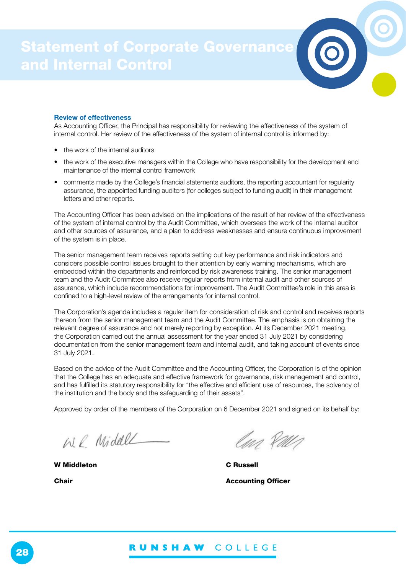

#### Review of effectiveness

As Accounting Officer, the Principal has responsibility for reviewing the effectiveness of the system of internal control. Her review of the effectiveness of the system of internal control is informed by:

- the work of the internal auditors
- the work of the executive managers within the College who have responsibility for the development and maintenance of the internal control framework
- comments made by the College's financial statements auditors, the reporting accountant for regularity assurance, the appointed funding auditors (for colleges subject to funding audit) in their management letters and other reports.

The Accounting Officer has been advised on the implications of the result of her review of the effectiveness of the system of internal control by the Audit Committee, which oversees the work of the internal auditor and other sources of assurance, and a plan to address weaknesses and ensure continuous improvement of the system is in place.

The senior management team receives reports setting out key performance and risk indicators and considers possible control issues brought to their attention by early warning mechanisms, which are embedded within the departments and reinforced by risk awareness training. The senior management team and the Audit Committee also receive regular reports from internal audit and other sources of assurance, which include recommendations for improvement. The Audit Committee's role in this area is confined to a high-level review of the arrangements for internal control.

The Corporation's agenda includes a regular item for consideration of risk and control and receives reports thereon from the senior management team and the Audit Committee. The emphasis is on obtaining the relevant degree of assurance and not merely reporting by exception. At its December 2021 meeting, the Corporation carried out the annual assessment for the year ended 31 July 2021 by considering documentation from the senior management team and internal audit, and taking account of events since 31 July 2021.

Based on the advice of the Audit Committee and the Accounting Officer, the Corporation is of the opinion that the College has an adequate and effective framework for governance, risk management and control, and has fulfilled its statutory responsibility for "the effective and efficient use of resources, the solvency of the institution and the body and the safeguarding of their assets".

Approved by order of the members of the Corporation on 6 December 2021 and signed on its behalf by:

W. R. Midell

W Middleton C Russell

lan Pall

Chair **Chair Chair Chair Chair Chair Chair Chair Chair Chair Chair Chair Chair Chair Chair Chair Chair Chair Chair Chair Chair Chair Chair Chair Chair Chair Chair Chair**

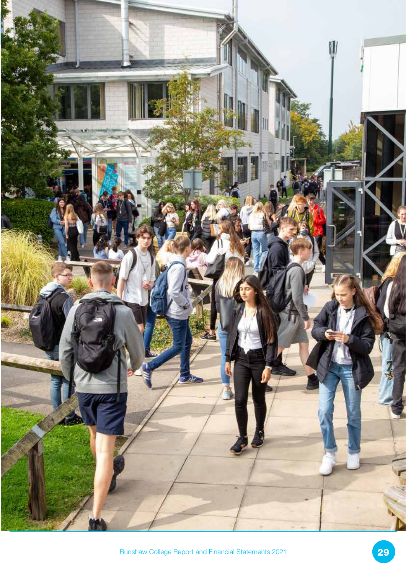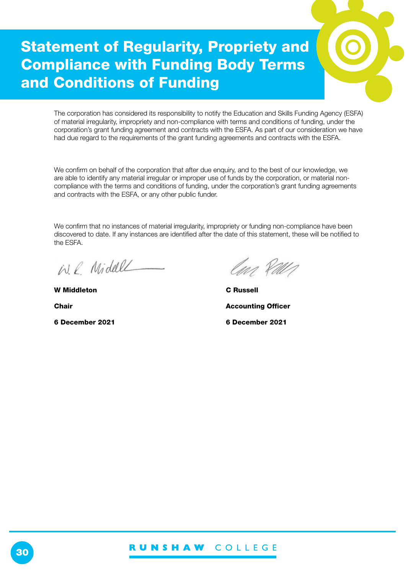# **Statement of Regularity, Propriety and** Compliance with Funding Body Terms and Conditions of Funding

The corporation has considered its responsibility to notify the Education and Skills Funding Agency (ESFA) of material irregularity, impropriety and non-compliance with terms and conditions of funding, under the corporation's grant funding agreement and contracts with the ESFA. As part of our consideration we have had due regard to the requirements of the grant funding agreements and contracts with the ESFA.

We confirm on behalf of the corporation that after due enquiry, and to the best of our knowledge, we are able to identify any material irregular or improper use of funds by the corporation, or material noncompliance with the terms and conditions of funding, under the corporation's grant funding agreements and contracts with the ESFA, or any other public funder.

We confirm that no instances of material irregularity, impropriety or funding non-compliance have been discovered to date. If any instances are identified after the date of this statement, these will be notified to the ESFA.

W. R. Middle

W Middleton C Russell

lan Pall

Chair **Chair Chair Chair Chair Chair Chair Chair Chair Chair Chair Chair Chair Chair Chair Chair Chair Chair Chair Chair Chair Chair Chair Chair Chair Chair Chair Chair** 6 December 2021 6 December 2021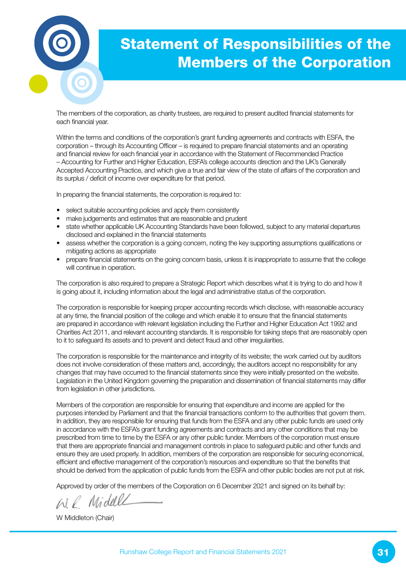

## Statement of Responsibilities of the Members of the Corporation

The members of the corporation, as charity trustees, are required to present audited financial statements for each financial year.

Within the terms and conditions of the corporation's grant funding agreements and contracts with ESFA, the corporation – through its Accounting Officer – is required to prepare financial statements and an operating and financial review for each financial year in accordance with the Statement of Recommended Practice – Accounting for Further and Higher Education, ESFA's college accounts direction and the UK's Generally Accepted Accounting Practice, and which give a true and fair view of the state of affairs of the corporation and its surplus / deficit of income over expenditure for that period.

In preparing the financial statements, the corporation is required to:

- select suitable accounting policies and apply them consistently
- make judgements and estimates that are reasonable and prudent
- state whether applicable UK Accounting Standards have been followed, subject to any material departures disclosed and explained in the financial statements
- assess whether the corporation is a going concern, noting the key supporting assumptions qualifications or mitigating actions as appropriate
- prepare financial statements on the going concern basis, unless it is inappropriate to assume that the college will continue in operation.

The corporation is also required to prepare a Strategic Report which describes what it is trying to do and how it is going about it, including information about the legal and administrative status of the corporation.

The corporation is responsible for keeping proper accounting records which disclose, with reasonable accuracy at any time, the financial position of the college and which enable it to ensure that the financial statements are prepared in accordance with relevant legislation including the Further and Higher Education Act 1992 and Charities Act 2011, and relevant accounting standards. It is responsible for taking steps that are reasonably open to it to safeguard its assets and to prevent and detect fraud and other irregularities.

The corporation is responsible for the maintenance and integrity of its website; the work carried out by auditors does not involve consideration of these matters and, accordingly, the auditors accept no responsibility for any changes that may have occurred to the financial statements since they were initially presented on the website. Legislation in the United Kingdom governing the preparation and dissemination of financial statements may differ from legislation in other jurisdictions.

Members of the corporation are responsible for ensuring that expenditure and income are applied for the purposes intended by Parliament and that the financial transactions conform to the authorities that govern them. In addition, they are responsible for ensuring that funds from the ESFA and any other public funds are used only in accordance with the ESFA's grant funding agreements and contracts and any other conditions that may be prescribed from time to time by the ESFA or any other public funder. Members of the corporation must ensure that there are appropriate financial and management controls in place to safeguard public and other funds and ensure they are used properly. In addition, members of the corporation are responsible for securing economical, efficient and effective management of the corporation's resources and expenditure so that the benefits that should be derived from the application of public funds from the ESFA and other public bodies are not put at risk.

Approved by order of the members of the Corporation on 6 December 2021 and signed on its behalf by:

WP Middle

W Middleton (Chair)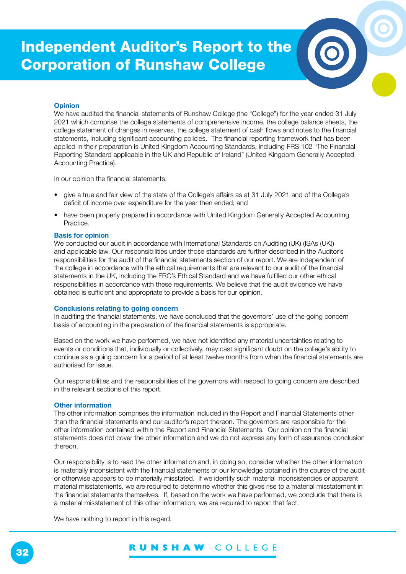#### **Opinion**

We have audited the financial statements of Runshaw College (the "College") for the year ended 31 July 2021 which comprise the college statements of comprehensive income, the college balance sheets, the college statement of changes in reserves, the college statement of cash flows and notes to the financial statements, including significant accounting policies. The financial reporting framework that has been applied in their preparation is United Kingdom Accounting Standards, including FRS 102 "The Financial Reporting Standard applicable in the UK and Republic of Ireland" (United Kingdom Generally Accepted Accounting Practice).

In our opinion the financial statements:

- give a true and fair view of the state of the College's affairs as at 31 July 2021 and of the College's deficit of income over expenditure for the year then ended; and
- have been properly prepared in accordance with United Kingdom Generally Accepted Accounting Practice.

#### Basis for opinion

We conducted our audit in accordance with International Standards on Auditing (UK) (ISAs (UK)) and applicable law. Our responsibilities under those standards are further described in the Auditor's responsibilities for the audit of the financial statements section of our report. We are independent of the college in accordance with the ethical requirements that are relevant to our audit of the financial statements in the UK, including the FRC's Ethical Standard and we have fulfilled our other ethical responsibilities in accordance with these requirements. We believe that the audit evidence we have obtained is sufficient and appropriate to provide a basis for our opinion.

#### Conclusions relating to going concern

In auditing the financial statements, we have concluded that the governors' use of the going concern basis of accounting in the preparation of the financial statements is appropriate.

Based on the work we have performed, we have not identified any material uncertainties relating to events or conditions that, individually or collectively, may cast significant doubt on the college's ability to continue as a going concern for a period of at least twelve months from when the financial statements are authorised for issue.

Our responsibilities and the responsibilities of the governors with respect to going concern are described in the relevant sections of this report.

#### Other information

The other information comprises the information included in the Report and Financial Statements other than the financial statements and our auditor's report thereon. The governors are responsible for the other information contained within the Report and Financial Statements. Our opinion on the financial statements does not cover the other information and we do not express any form of assurance conclusion thereon.

Our responsibility is to read the other information and, in doing so, consider whether the other information is materially inconsistent with the financial statements or our knowledge obtained in the course of the audit or otherwise appears to be materially misstated. If we identify such material inconsistencies or apparent material misstatements, we are required to determine whether this gives rise to a material misstatement in the financial statements themselves. If, based on the work we have performed, we conclude that there is a material misstatement of this other information, we are required to report that fact.

We have nothing to report in this regard.

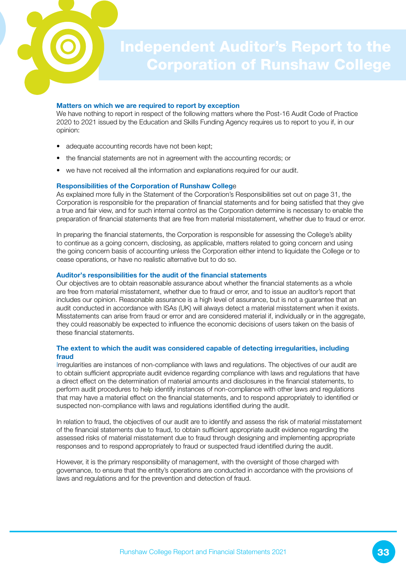

#### Matters on which we are required to report by exception

We have nothing to report in respect of the following matters where the Post-16 Audit Code of Practice 2020 to 2021 issued by the Education and Skills Funding Agency requires us to report to you if, in our opinion:

- adequate accounting records have not been kept;
- the financial statements are not in agreement with the accounting records; or
- we have not received all the information and explanations required for our audit.

#### Responsibilities of the Corporation of Runshaw College

As explained more fully in the Statement of the Corporation's Responsibilities set out on page 31, the Corporation is responsible for the preparation of financial statements and for being satisfied that they give a true and fair view, and for such internal control as the Corporation determine is necessary to enable the preparation of financial statements that are free from material misstatement, whether due to fraud or error.

In preparing the financial statements, the Corporation is responsible for assessing the College's ability to continue as a going concern, disclosing, as applicable, matters related to going concern and using the going concern basis of accounting unless the Corporation either intend to liquidate the College or to cease operations, or have no realistic alternative but to do so.

#### Auditor's responsibilities for the audit of the financial statements

Our objectives are to obtain reasonable assurance about whether the financial statements as a whole are free from material misstatement, whether due to fraud or error, and to issue an auditor's report that includes our opinion. Reasonable assurance is a high level of assurance, but is not a guarantee that an audit conducted in accordance with ISAs (UK) will always detect a material misstatement when it exists. Misstatements can arise from fraud or error and are considered material if, individually or in the aggregate, they could reasonably be expected to influence the economic decisions of users taken on the basis of these financial statements.

#### The extent to which the audit was considered capable of detecting irregularities, including fraud

Irregularities are instances of non-compliance with laws and regulations. The objectives of our audit are to obtain sufficient appropriate audit evidence regarding compliance with laws and regulations that have a direct effect on the determination of material amounts and disclosures in the financial statements, to perform audit procedures to help identify instances of non-compliance with other laws and regulations that may have a material effect on the financial statements, and to respond appropriately to identified or suspected non-compliance with laws and regulations identified during the audit.

In relation to fraud, the objectives of our audit are to identify and assess the risk of material misstatement of the financial statements due to fraud, to obtain sufficient appropriate audit evidence regarding the assessed risks of material misstatement due to fraud through designing and implementing appropriate responses and to respond appropriately to fraud or suspected fraud identified during the audit.

However, it is the primary responsibility of management, with the oversight of those charged with governance, to ensure that the entity's operations are conducted in accordance with the provisions of laws and regulations and for the prevention and detection of fraud.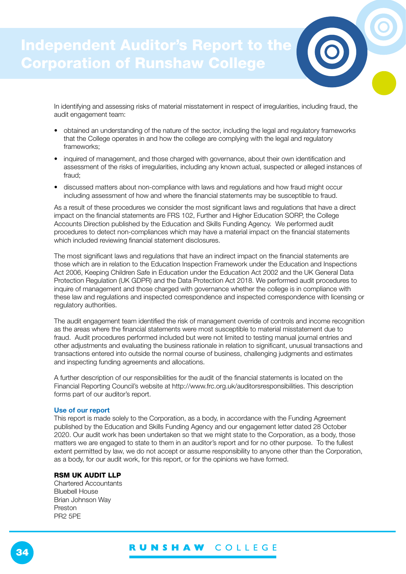In identifying and assessing risks of material misstatement in respect of irregularities, including fraud, the audit engagement team:

- obtained an understanding of the nature of the sector, including the legal and regulatory frameworks that the College operates in and how the college are complying with the legal and regulatory frameworks;
- inquired of management, and those charged with governance, about their own identification and assessment of the risks of irregularities, including any known actual, suspected or alleged instances of fraud;
- discussed matters about non-compliance with laws and regulations and how fraud might occur including assessment of how and where the financial statements may be susceptible to fraud.

As a result of these procedures we consider the most significant laws and regulations that have a direct impact on the financial statements are FRS 102, Further and Higher Education SORP, the College Accounts Direction published by the Education and Skills Funding Agency. We performed audit procedures to detect non-compliances which may have a material impact on the financial statements which included reviewing financial statement disclosures.

The most significant laws and regulations that have an indirect impact on the financial statements are those which are in relation to the Education Inspection Framework under the Education and Inspections Act 2006, Keeping Children Safe in Education under the Education Act 2002 and the UK General Data Protection Regulation (UK GDPR) and the Data Protection Act 2018. We performed audit procedures to inquire of management and those charged with governance whether the college is in compliance with these law and regulations and inspected correspondence and inspected correspondence with licensing or regulatory authorities.

The audit engagement team identified the risk of management override of controls and income recognition as the areas where the financial statements were most susceptible to material misstatement due to fraud. Audit procedures performed included but were not limited to testing manual journal entries and other adjustments and evaluating the business rationale in relation to significant, unusual transactions and transactions entered into outside the normal course of business, challenging judgments and estimates and inspecting funding agreements and allocations.

A further description of our responsibilities for the audit of the financial statements is located on the Financial Reporting Council's website at http://www.frc.org.uk/auditorsresponsibilities. This description forms part of our auditor's report.

#### Use of our report

This report is made solely to the Corporation, as a body, in accordance with the Funding Agreement published by the Education and Skills Funding Agency and our engagement letter dated 28 October 2020. Our audit work has been undertaken so that we might state to the Corporation, as a body, those matters we are engaged to state to them in an auditor's report and for no other purpose. To the fullest extent permitted by law, we do not accept or assume responsibility to anyone other than the Corporation, as a body, for our audit work, for this report, or for the opinions we have formed.

#### RSM UK AUDIT LLP

Chartered Accountants Bluebell House Brian Johnson Way Preston PR2 5PE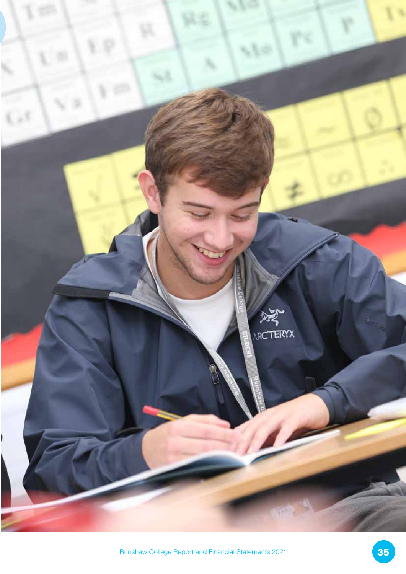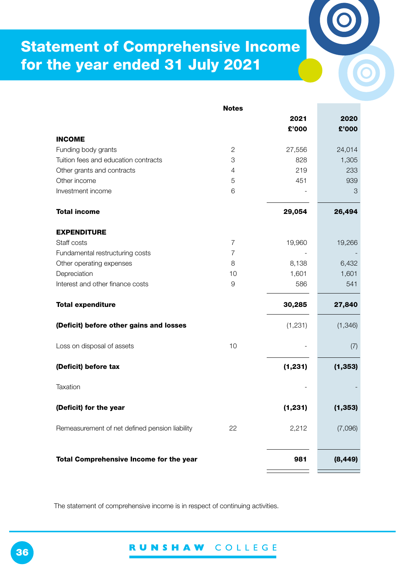## Statement of Comprehensive Income for the year ended 31 July 2021

| <b>Notes</b>                                         |          |          |
|------------------------------------------------------|----------|----------|
|                                                      | 2021     | 2020     |
|                                                      | £'000    | £'000    |
| <b>INCOME</b>                                        |          |          |
| $\mathbf{2}$<br>Funding body grants                  | 27,556   | 24,014   |
| Tuition fees and education contracts<br>3            | 828      | 1,305    |
| Other grants and contracts<br>$\overline{4}$         | 219      | 233      |
| Other income<br>5                                    | 451      | 939      |
| Investment income<br>6                               |          | 3        |
| <b>Total income</b>                                  | 29,054   | 26,494   |
| <b>EXPENDITURE</b>                                   |          |          |
| Staff costs<br>$\overline{7}$                        | 19,960   | 19,266   |
| $\overline{7}$<br>Fundamental restructuring costs    |          |          |
| 8<br>Other operating expenses                        | 8,138    | 6,432    |
| Depreciation<br>10                                   | 1,601    | 1,601    |
| Interest and other finance costs<br>$\overline{9}$   | 586      | 541      |
| <b>Total expenditure</b>                             | 30,285   | 27,840   |
| (Deficit) before other gains and losses              | (1, 231) | (1, 346) |
| 10<br>Loss on disposal of assets                     |          | (7)      |
| (Deficit) before tax                                 | (1, 231) | (1, 353) |
| Taxation                                             |          |          |
| (Deficit) for the year                               | (1, 231) | (1, 353) |
| Remeasurement of net defined pension liability<br>22 | 2,212    | (7,096)  |
| <b>Total Comprehensive Income for the year</b>       | 981      | (8, 449) |

The statement of comprehensive income is in respect of continuing activities.

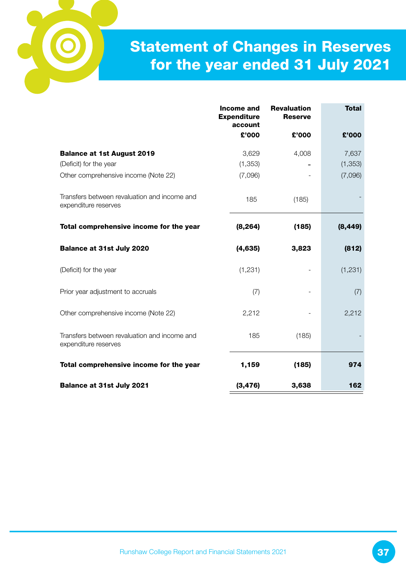

# Statement of Changes in Reserves for the year ended 31 July 2021

|                                                                                                              | <b>Income and</b><br><b>Expenditure</b><br>account | <b>Revaluation</b><br><b>Reserve</b> | <b>Total</b>      |
|--------------------------------------------------------------------------------------------------------------|----------------------------------------------------|--------------------------------------|-------------------|
|                                                                                                              | £'000                                              | £'000                                | £'000             |
| <b>Balance at 1st August 2019</b><br>(Deficit) for the year                                                  | 3,629<br>(1, 353)                                  | 4,008                                | 7,637<br>(1, 353) |
| Other comprehensive income (Note 22)<br>Transfers between revaluation and income and<br>expenditure reserves | (7,096)<br>185                                     | (185)                                | (7,096)           |
| Total comprehensive income for the year                                                                      | (8, 264)                                           | (185)                                | (8, 449)          |
| <b>Balance at 31st July 2020</b>                                                                             | (4,635)                                            | 3,823                                | (812)             |
| (Deficit) for the year                                                                                       | (1, 231)                                           |                                      | (1, 231)          |
| Prior year adjustment to accruals                                                                            | (7)                                                |                                      | (7)               |
| Other comprehensive income (Note 22)                                                                         | 2,212                                              |                                      | 2,212             |
| Transfers between revaluation and income and<br>expenditure reserves                                         | 185                                                | (185)                                |                   |
| Total comprehensive income for the year                                                                      | 1,159                                              | (185)                                | 974               |
| <b>Balance at 31st July 2021</b>                                                                             | (3, 476)                                           | 3,638                                | 162               |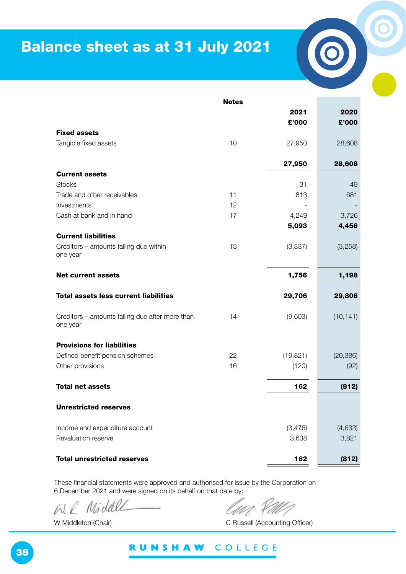# Balance sheet as at 31 July 2021

|                                                             | <b>Notes</b> |           |           |
|-------------------------------------------------------------|--------------|-----------|-----------|
|                                                             |              | 2021      | 2020      |
|                                                             |              | £'000     | £'000     |
| <b>Fixed assets</b>                                         |              |           |           |
| Tangible fixed assets                                       | 10           | 27,950    | 28,608    |
|                                                             |              | 27,950    | 28,608    |
| <b>Current assets</b>                                       |              |           |           |
| <b>Stocks</b>                                               |              | 31        | 49        |
| Trade and other receivables                                 | 11           | 813       | 681       |
| Investments                                                 | 12           |           |           |
| Cash at bank and in hand                                    | 17           | 4,249     | 3,726     |
|                                                             |              | 5,093     | 4,456     |
| <b>Current liabilities</b>                                  |              |           |           |
| Creditors - amounts falling due within                      | 13           | (3, 337)  | (3,258)   |
| one year                                                    |              |           |           |
| <b>Net current assets</b>                                   |              | 1,756     | 1,198     |
| <b>Total assets less current liabilities</b>                |              | 29,706    | 29,806    |
| Creditors – amounts falling due after more than<br>one year | 14           | (9,603)   | (10, 141) |
| <b>Provisions for liabilities</b>                           |              |           |           |
| Defined benefit pension schemes                             | 22           | (19, 821) | (20, 386) |
| Other provisions                                            | 16           | (120)     | (92)      |
| <b>Total net assets</b>                                     |              | 162       | (812)     |
| <b>Unrestricted reserves</b>                                |              |           |           |
| Income and expenditure account                              |              | (3, 476)  | (4, 633)  |
| Revaluation reserve                                         |              | 3,638     | 3,821     |
|                                                             |              |           |           |
| <b>Total unrestricted reserves</b>                          |              | 162       | (812)     |

These financial statements were approved and authorised for issue by the Corporation on 6 December 2021 and were signed on its behalf on that date by:

 $W_{\cdot}$ 

<u>U</u>M

W Middleton (Chair) C Russell (Accounting Officer)

O

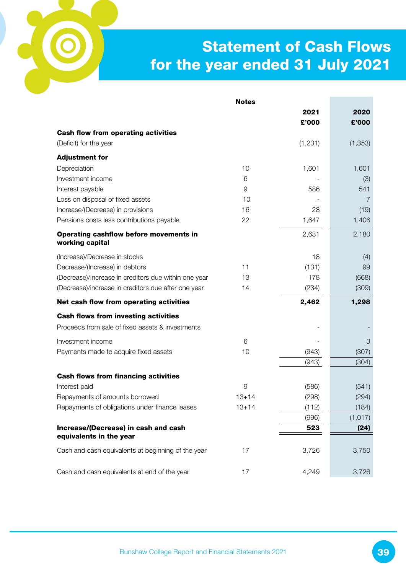

# Statement of Cash Flows for the year ended 31 July 2021

|                                                                  | <b>Notes</b> |          |            |
|------------------------------------------------------------------|--------------|----------|------------|
|                                                                  |              | 2021     | 2020       |
|                                                                  |              | £'000    | £'000      |
| <b>Cash flow from operating activities</b>                       |              |          |            |
| (Deficit) for the year                                           |              | (1, 231) | (1,353)    |
| <b>Adjustment for</b>                                            |              |          |            |
| Depreciation                                                     | 10           | 1,601    | 1,601      |
| Investment income                                                | 6            |          | (3)        |
| Interest payable                                                 | 9            | 586      | 541        |
| Loss on disposal of fixed assets                                 | 10           |          | $\sqrt{ }$ |
| Increase/(Decrease) in provisions                                | 16           | 28       | (19)       |
| Pensions costs less contributions payable                        | 22           | 1,647    | 1,406      |
| <b>Operating cashflow before movements in</b><br>working capital |              | 2,631    | 2,180      |
| (Increase)/Decrease in stocks                                    |              | 18       | (4)        |
| Decrease/(Increase) in debtors                                   | 11           | (131)    | 99         |
| (Decrease)/Increase in creditors due within one year             | 13           | 178      | (668)      |
| (Decrease)/increase in creditors due after one year              | 14           | (234)    | (309)      |
| Net cash flow from operating activities                          |              | 2,462    | 1,298      |
| <b>Cash flows from investing activities</b>                      |              |          |            |
| Proceeds from sale of fixed assets & investments                 |              |          |            |
| Investment income                                                | 6            |          | 3          |
| Payments made to acquire fixed assets                            | 10           | (943)    | (307)      |
|                                                                  |              | (943)    | (304)      |
| <b>Cash flows from financing activities</b>                      |              |          |            |
| Interest paid                                                    | 9            | (586)    | (541)      |
| Repayments of amounts borrowed                                   | $13 + 14$    | (298)    | (294)      |
| Repayments of obligations under finance leases                   | $13 + 14$    | (112)    | (184)      |
|                                                                  |              | (996)    | (1, 017)   |
| Increase/(Decrease) in cash and cash<br>equivalents in the year  |              | 523      | (24)       |
| Cash and cash equivalents at beginning of the year               | 17           | 3,726    | 3,750      |
| Cash and cash equivalents at end of the year                     | 17           | 4,249    | 3,726      |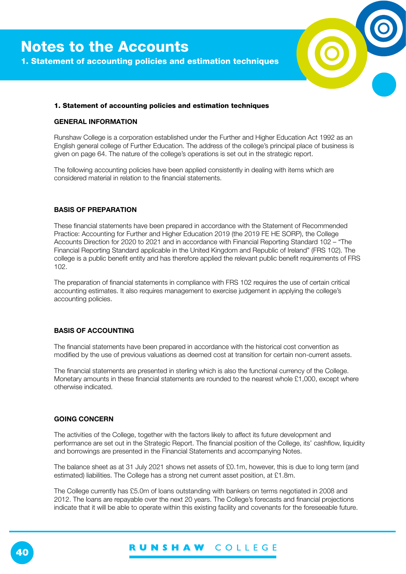

#### 1. Statement of accounting policies and estimation techniques

#### GENERAL INFORMATION

Runshaw College is a corporation established under the Further and Higher Education Act 1992 as an English general college of Further Education. The address of the college's principal place of business is given on page 64. The nature of the college's operations is set out in the strategic report.

The following accounting policies have been applied consistently in dealing with items which are considered material in relation to the financial statements.

#### BASIS OF PREPARATION

These financial statements have been prepared in accordance with the Statement of Recommended Practice: Accounting for Further and Higher Education 2019 (the 2019 FE HE SORP), the College Accounts Direction for 2020 to 2021 and in accordance with Financial Reporting Standard 102 – "The Financial Reporting Standard applicable in the United Kingdom and Republic of Ireland" (FRS 102). The college is a public benefit entity and has therefore applied the relevant public benefit requirements of FRS 102.

The preparation of financial statements in compliance with FRS 102 requires the use of certain critical accounting estimates. It also requires management to exercise judgement in applying the college's accounting policies.

#### BASIS OF ACCOUNTING

The financial statements have been prepared in accordance with the historical cost convention as modified by the use of previous valuations as deemed cost at transition for certain non-current assets.

The financial statements are presented in sterling which is also the functional currency of the College. Monetary amounts in these financial statements are rounded to the nearest whole £1,000, except where otherwise indicated.

#### GOING CONCERN

The activities of the College, together with the factors likely to affect its future development and performance are set out in the Strategic Report. The financial position of the College, its' cashflow, liquidity and borrowings are presented in the Financial Statements and accompanying Notes.

The balance sheet as at 31 July 2021 shows net assets of £0.1m, however, this is due to long term (and estimated) liabilities. The College has a strong net current asset position, at £1.8m.

The College currently has £5.0m of loans outstanding with bankers on terms negotiated in 2008 and 2012. The loans are repayable over the next 20 years. The College's forecasts and financial projections indicate that it will be able to operate within this existing facility and covenants for the foreseeable future.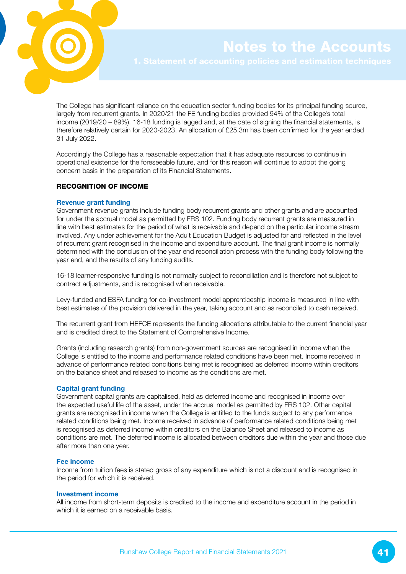

The College has significant reliance on the education sector funding bodies for its principal funding source, largely from recurrent grants. In 2020/21 the FE funding bodies provided 94% of the College's total income (2019/20 – 89%). 16-18 funding is lagged and, at the date of signing the financial statements, is therefore relatively certain for 2020-2023. An allocation of £25.3m has been confirmed for the year ended 31 July 2022.

Accordingly the College has a reasonable expectation that it has adequate resources to continue in operational existence for the foreseeable future, and for this reason will continue to adopt the going concern basis in the preparation of its Financial Statements.

#### RECOGNITION OF INCOME

#### Revenue grant funding

Government revenue grants include funding body recurrent grants and other grants and are accounted for under the accrual model as permitted by FRS 102. Funding body recurrent grants are measured in line with best estimates for the period of what is receivable and depend on the particular income stream involved. Any under achievement for the Adult Education Budget is adjusted for and reflected in the level of recurrent grant recognised in the income and expenditure account. The final grant income is normally determined with the conclusion of the year end reconciliation process with the funding body following the year end, and the results of any funding audits.

16-18 learner-responsive funding is not normally subject to reconciliation and is therefore not subject to contract adjustments, and is recognised when receivable.

Levy-funded and ESFA funding for co-investment model apprenticeship income is measured in line with best estimates of the provision delivered in the year, taking account and as reconciled to cash received.

The recurrent grant from HEFCE represents the funding allocations attributable to the current financial year and is credited direct to the Statement of Comprehensive Income.

Grants (including research grants) from non-government sources are recognised in income when the College is entitled to the income and performance related conditions have been met. Income received in advance of performance related conditions being met is recognised as deferred income within creditors on the balance sheet and released to income as the conditions are met.

#### Capital grant funding

Government capital grants are capitalised, held as deferred income and recognised in income over the expected useful life of the asset, under the accrual model as permitted by FRS 102. Other capital grants are recognised in income when the College is entitled to the funds subject to any performance related conditions being met. Income received in advance of performance related conditions being met is recognised as deferred income within creditors on the Balance Sheet and released to income as conditions are met. The deferred income is allocated between creditors due within the year and those due after more than one year.

#### Fee income

Income from tuition fees is stated gross of any expenditure which is not a discount and is recognised in the period for which it is received.

#### Investment income

All income from short-term deposits is credited to the income and expenditure account in the period in which it is earned on a receivable basis.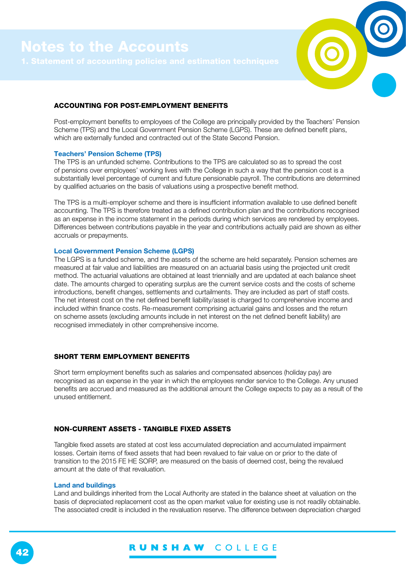



#### ACCOUNTING FOR POST-EMPLOYMENT BENEFITS

Post-employment benefits to employees of the College are principally provided by the Teachers' Pension Scheme (TPS) and the Local Government Pension Scheme (LGPS). These are defined benefit plans, which are externally funded and contracted out of the State Second Pension.

#### Teachers' Pension Scheme (TPS)

The TPS is an unfunded scheme. Contributions to the TPS are calculated so as to spread the cost of pensions over employees' working lives with the College in such a way that the pension cost is a substantially level percentage of current and future pensionable payroll. The contributions are determined by qualified actuaries on the basis of valuations using a prospective benefit method.

The TPS is a multi-employer scheme and there is insufficient information available to use defined benefit accounting. The TPS is therefore treated as a defined contribution plan and the contributions recognised as an expense in the income statement in the periods during which services are rendered by employees. Differences between contributions payable in the year and contributions actually paid are shown as either accruals or prepayments.

#### Local Government Pension Scheme (LGPS)

The LGPS is a funded scheme, and the assets of the scheme are held separately. Pension schemes are measured at fair value and liabilities are measured on an actuarial basis using the projected unit credit method. The actuarial valuations are obtained at least triennially and are updated at each balance sheet date. The amounts charged to operating surplus are the current service costs and the costs of scheme introductions, benefit changes, settlements and curtailments. They are included as part of staff costs. The net interest cost on the net defined benefit liability/asset is charged to comprehensive income and included within finance costs. Re-measurement comprising actuarial gains and losses and the return on scheme assets (excluding amounts include in net interest on the net defined benefit liability) are recognised immediately in other comprehensive income.

#### SHORT TERM EMPLOYMENT BENEFITS

Short term employment benefits such as salaries and compensated absences (holiday pay) are recognised as an expense in the year in which the employees render service to the College. Any unused benefits are accrued and measured as the additional amount the College expects to pay as a result of the unused entitlement.

#### NON-CURRENT ASSETS - TANGIBLE FIXED ASSETS

Tangible fixed assets are stated at cost less accumulated depreciation and accumulated impairment losses. Certain items of fixed assets that had been revalued to fair value on or prior to the date of transition to the 2015 FE HE SORP, are measured on the basis of deemed cost, being the revalued amount at the date of that revaluation.

#### Land and buildings

Land and buildings inherited from the Local Authority are stated in the balance sheet at valuation on the basis of depreciated replacement cost as the open market value for existing use is not readily obtainable. The associated credit is included in the revaluation reserve. The difference between depreciation charged

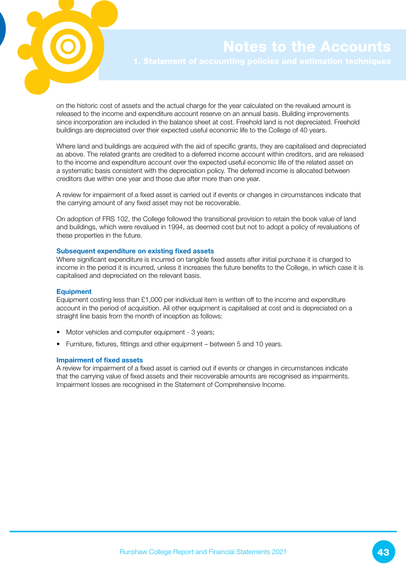

on the historic cost of assets and the actual charge for the year calculated on the revalued amount is released to the income and expenditure account reserve on an annual basis. Building improvements since incorporation are included in the balance sheet at cost. Freehold land is not depreciated. Freehold buildings are depreciated over their expected useful economic life to the College of 40 years.

Where land and buildings are acquired with the aid of specific grants, they are capitalised and depreciated as above. The related grants are credited to a deferred income account within creditors, and are released to the income and expenditure account over the expected useful economic life of the related asset on a systematic basis consistent with the depreciation policy. The deferred income is allocated between creditors due within one year and those due after more than one year.

A review for impairment of a fixed asset is carried out if events or changes in circumstances indicate that the carrying amount of any fixed asset may not be recoverable.

On adoption of FRS 102, the College followed the transitional provision to retain the book value of land and buildings, which were revalued in 1994, as deemed cost but not to adopt a policy of revaluations of these properties in the future.

#### Subsequent expenditure on existing fixed assets

Where significant expenditure is incurred on tangible fixed assets after initial purchase it is charged to income in the period it is incurred, unless it increases the future benefits to the College, in which case it is capitalised and depreciated on the relevant basis.

#### Equipment

Equipment costing less than £1,000 per individual item is written off to the income and expenditure account in the period of acquisition. All other equipment is capitalised at cost and is depreciated on a straight line basis from the month of inception as follows:

- Motor vehicles and computer equipment 3 years;
- Furniture, fixtures, fittings and other equipment between 5 and 10 years.

#### Impairment of fixed assets

A review for impairment of a fixed asset is carried out if events or changes in circumstances indicate that the carrying value of fixed assets and their recoverable amounts are recognised as impairments. Impairment losses are recognised in the Statement of Comprehensive Income.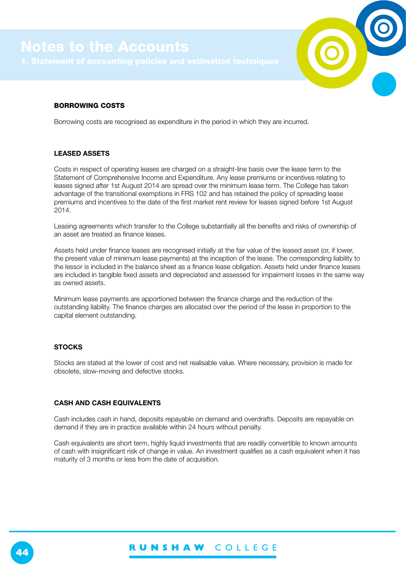

#### BORROWING COSTS

Borrowing costs are recognised as expenditure in the period in which they are incurred.

#### LEASED ASSETS

Costs in respect of operating leases are charged on a straight-line basis over the lease term to the Statement of Comprehensive Income and Expenditure. Any lease premiums or incentives relating to leases signed after 1st August 2014 are spread over the minimum lease term. The College has taken advantage of the transitional exemptions in FRS 102 and has retained the policy of spreading lease premiums and incentives to the date of the first market rent review for leases signed before 1st August 2014.

Leasing agreements which transfer to the College substantially all the benefits and risks of ownership of an asset are treated as finance leases.

Assets held under finance leases are recognised initially at the fair value of the leased asset (or, if lower, the present value of minimum lease payments) at the inception of the lease. The corresponding liability to the lessor is included in the balance sheet as a finance lease obligation. Assets held under finance leases are included in tangible fixed assets and depreciated and assessed for impairment losses in the same way as owned assets.

Minimum lease payments are apportioned between the finance charge and the reduction of the outstanding liability. The finance charges are allocated over the period of the lease in proportion to the capital element outstanding.

#### **STOCKS**

Stocks are stated at the lower of cost and net realisable value. Where necessary, provision is made for obsolete, slow-moving and defective stocks.

#### CASH AND CASH EQUIVALENTS

Cash includes cash in hand, deposits repayable on demand and overdrafts. Deposits are repayable on demand if they are in practice available within 24 hours without penalty.

Cash equivalents are short term, highly liquid investments that are readily convertible to known amounts of cash with insignificant risk of change in value. An investment qualifies as a cash equivalent when it has maturity of 3 months or less from the date of acquisition.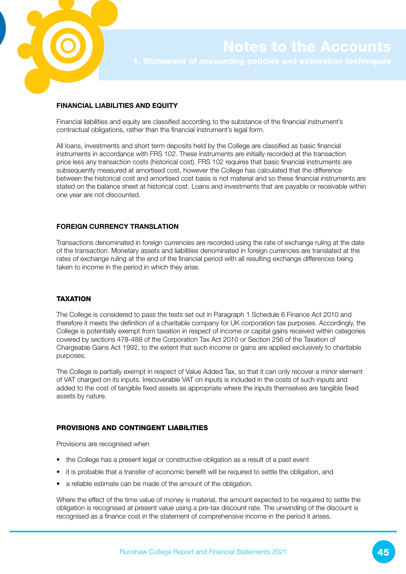

#### FINANCIAL LIABILITIES AND EQUITY

Financial liabilities and equity are classified according to the substance of the financial instrument's contractual obligations, rather than the financial instrument's legal form.

All loans, investments and short term deposits held by the College are classified as basic financial instruments in accordance with FRS 102. These instruments are initially recorded at the transaction price less any transaction costs (historical cost). FRS 102 requires that basic financial instruments are subsequently measured at amortised cost, however the College has calculated that the difference between the historical cost and amortised cost basis is not material and so these financial instruments are stated on the balance sheet at historical cost. Loans and investments that are payable or receivable within one year are not discounted.

#### FOREIGN CURRENCY TRANSLATION

Transactions denominated in foreign currencies are recorded using the rate of exchange ruling at the date of the transaction. Monetary assets and liabilities denominated in foreign currencies are translated at the rates of exchange ruling at the end of the financial period with all resulting exchange differences being taken to income in the period in which they arise.

#### TAXATION

The College is considered to pass the tests set out in Paragraph 1 Schedule 6 Finance Act 2010 and therefore it meets the definition of a charitable company for UK corporation tax purposes. Accordingly, the College is potentially exempt from taxation in respect of income or capital gains received within categories covered by sections 478-488 of the Corporation Tax Act 2010 or Section 256 of the Taxation of Chargeable Gains Act 1992, to the extent that such income or gains are applied exclusively to charitable purposes.

The College is partially exempt in respect of Value Added Tax, so that it can only recover a minor element of VAT charged on its inputs. Irrecoverable VAT on inputs is included in the costs of such inputs and added to the cost of tangible fixed assets as appropriate where the inputs themselves are tangible fixed assets by nature.

#### PROVISIONS AND CONTINGENT LIABILITIES

Provisions are recognised when

- the College has a present legal or constructive obligation as a result of a past event
- it is probable that a transfer of economic benefit will be required to settle the obligation, and
- a reliable estimate can be made of the amount of the obligation.

Where the effect of the time value of money is material, the amount expected to be required to settle the obligation is recognised at present value using a pre-tax discount rate. The unwinding of the discount is recognised as a finance cost in the statement of comprehensive income in the period it arises.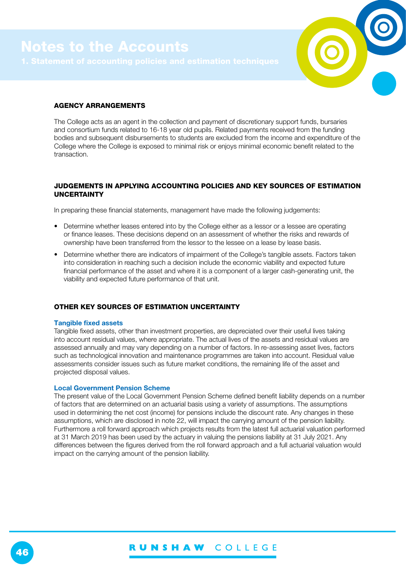

#### AGENCY ARRANGEMENTS

The College acts as an agent in the collection and payment of discretionary support funds, bursaries and consortium funds related to 16-18 year old pupils. Related payments received from the funding bodies and subsequent disbursements to students are excluded from the income and expenditure of the College where the College is exposed to minimal risk or enjoys minimal economic benefit related to the transaction.

#### JUDGEMENTS IN APPLYING ACCOUNTING POLICIES AND KEY SOURCES OF ESTIMATION UNCERTAINTY

In preparing these financial statements, management have made the following judgements:

- Determine whether leases entered into by the College either as a lessor or a lessee are operating or finance leases. These decisions depend on an assessment of whether the risks and rewards of ownership have been transferred from the lessor to the lessee on a lease by lease basis.
- Determine whether there are indicators of impairment of the College's tangible assets. Factors taken into consideration in reaching such a decision include the economic viability and expected future financial performance of the asset and where it is a component of a larger cash-generating unit, the viability and expected future performance of that unit.

#### OTHER KEY SOURCES OF ESTIMATION UNCERTAINTY

#### Tangible fixed assets

Tangible fixed assets, other than investment properties, are depreciated over their useful lives taking into account residual values, where appropriate. The actual lives of the assets and residual values are assessed annually and may vary depending on a number of factors. In re-assessing asset lives, factors such as technological innovation and maintenance programmes are taken into account. Residual value assessments consider issues such as future market conditions, the remaining life of the asset and projected disposal values.

#### Local Government Pension Scheme

The present value of the Local Government Pension Scheme defined benefit liability depends on a number of factors that are determined on an actuarial basis using a variety of assumptions. The assumptions used in determining the net cost (income) for pensions include the discount rate. Any changes in these assumptions, which are disclosed in note 22, will impact the carrying amount of the pension liability. Furthermore a roll forward approach which projects results from the latest full actuarial valuation performed at 31 March 2019 has been used by the actuary in valuing the pensions liability at 31 July 2021. Any differences between the figures derived from the roll forward approach and a full actuarial valuation would impact on the carrying amount of the pension liability.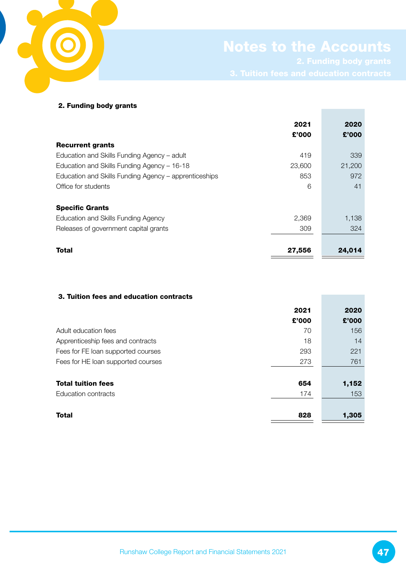

#### 2. Funding body grants

|                                                       | 2021<br>£'000 | 2020<br>£'000 |
|-------------------------------------------------------|---------------|---------------|
| <b>Recurrent grants</b>                               |               |               |
| Education and Skills Funding Agency - adult           | 419           | 339           |
| Education and Skills Funding Agency - 16-18           | 23,600        | 21,200        |
| Education and Skills Funding Agency – apprenticeships | 853           | 972           |
| Office for students                                   | 6             | 41            |
| <b>Specific Grants</b>                                |               |               |
| Education and Skills Funding Agency                   | 2,369         | 1,138         |
| Releases of government capital grants                 | 309           | 324           |
|                                                       |               |               |
| Total                                                 | 27,556        | 24,014        |

#### 3. Tuition fees and education contracts

|                                                  | 2021<br>£'000 | 2020<br>£'000 |
|--------------------------------------------------|---------------|---------------|
| Adult education fees                             | 70            | 156           |
| Apprenticeship fees and contracts                | 18            | 14            |
| Fees for FE loan supported courses               | 293           | 221           |
| Fees for HE loan supported courses               | 273           | 761           |
| <b>Total tuition fees</b><br>Education contracts | 654<br>174    | 1,152<br>153  |
| <b>Total</b>                                     | 828           | 1,305         |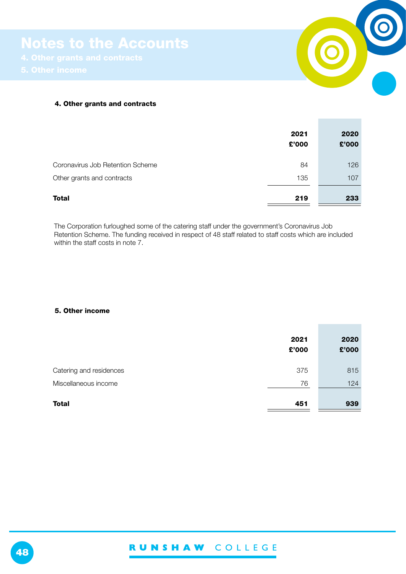

#### 4. Other grants and contracts

|                                  | 2021<br>£'000 | 2020<br>£'000 |
|----------------------------------|---------------|---------------|
| Coronavirus Job Retention Scheme | 84            | 126           |
| Other grants and contracts       | 135           | 107           |
| <b>Total</b>                     | 219           | 233           |

The Corporation furloughed some of the catering staff under the government's Coronavirus Job Retention Scheme. The funding received in respect of 48 staff related to staff costs which are included within the staff costs in note 7.

#### 5. Other income

|                         | 2021<br>£'000 | 2020<br>£'000 |
|-------------------------|---------------|---------------|
| Catering and residences | 375           | 815           |
| Miscellaneous income    | 76            | 124           |
| <b>Total</b>            | 451           | 939           |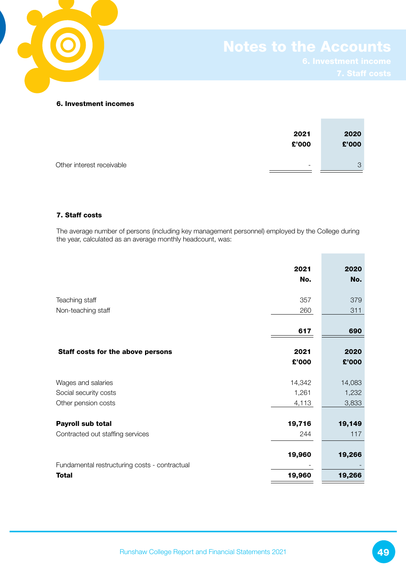

**COL** 

6. Investment incomes

| 2021                                                  | 2020  |
|-------------------------------------------------------|-------|
| £'000                                                 | £'000 |
| Other interest receivable<br>$\overline{\phantom{0}}$ | 3     |

#### 7. Staff costs

The average number of persons (including key management personnel) employed by the College during the year, calculated as an average monthly headcount, was:

|                                               | 2021   | 2020   |
|-----------------------------------------------|--------|--------|
|                                               | No.    | No.    |
| Teaching staff                                | 357    | 379    |
| Non-teaching staff                            | 260    | 311    |
|                                               |        |        |
|                                               | 617    | 690    |
|                                               |        |        |
| Staff costs for the above persons             | 2021   | 2020   |
|                                               | £'000  | £'000  |
| Wages and salaries                            | 14,342 | 14,083 |
| Social security costs                         | 1,261  | 1,232  |
| Other pension costs                           | 4,113  | 3,833  |
|                                               |        |        |
| Payroll sub total                             | 19,716 | 19,149 |
| Contracted out staffing services              | 244    | 117    |
|                                               |        |        |
|                                               | 19,960 | 19,266 |
| Fundamental restructuring costs - contractual |        |        |
| <b>Total</b>                                  | 19,960 | 19,266 |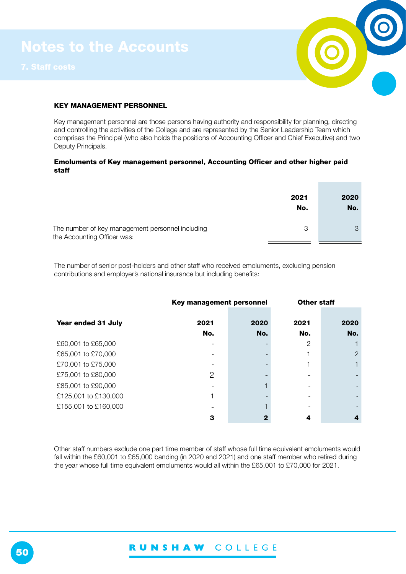

#### KEY MANAGEMENT PERSONNEL

Key management personnel are those persons having authority and responsibility for planning, directing and controlling the activities of the College and are represented by the Senior Leadership Team which comprises the Principal (who also holds the positions of Accounting Officer and Chief Executive) and two Deputy Principals.

#### Emoluments of Key management personnel, Accounting Officer and other higher paid staff

|                                                                                 | 2021<br>No. | 2020<br>No. |
|---------------------------------------------------------------------------------|-------------|-------------|
| The number of key management personnel including<br>the Accounting Officer was: | 3           | 3           |

The number of senior post-holders and other staff who received emoluments, excluding pension contributions and employer's national insurance but including benefits:

|                      | Key management personnel |      | Other staff |      |
|----------------------|--------------------------|------|-------------|------|
|                      |                          |      |             |      |
| Year ended 31 July   | 2021                     | 2020 | 2021        | 2020 |
|                      | No.                      | No.  | No.         | No.  |
| £60,001 to £65,000   |                          |      | 2           |      |
| £65,001 to £70,000   |                          |      |             | 2    |
| £70,001 to £75,000   |                          |      |             |      |
| £75,001 to £80,000   | 2                        |      |             |      |
| £85,001 to £90,000   |                          |      |             |      |
| £125,001 to £130,000 |                          |      |             |      |
| £155,001 to £160,000 |                          |      |             |      |
|                      | з                        | 2    | 4           |      |

Other staff numbers exclude one part time member of staff whose full time equivalent emoluments would fall within the £60,001 to £65,000 banding (in 2020 and 2021) and one staff member who retired during the year whose full time equivalent emoluments would all within the £65,001 to £70,000 for 2021.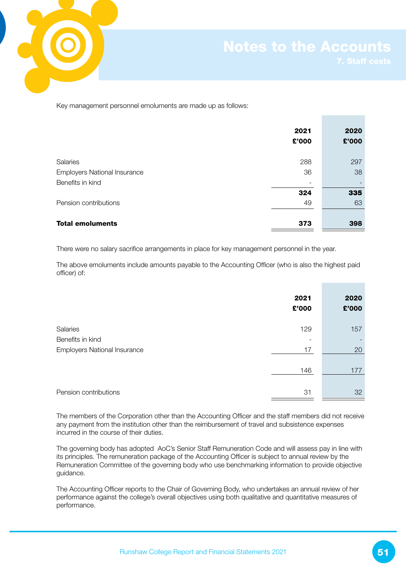

Key management personnel emoluments are made up as follows:

|                                     | 2021<br>£'000            | 2020<br>£'000 |
|-------------------------------------|--------------------------|---------------|
| Salaries                            | 288                      | 297           |
| <b>Employers National Insurance</b> | 36                       | 38            |
| Benefits in kind                    | $\overline{\phantom{0}}$ |               |
|                                     | 324                      | 335           |
| Pension contributions               | 49                       | 63            |
|                                     |                          |               |
| <b>Total emoluments</b>             | 373                      | 398           |

There were no salary sacrifice arrangements in place for key management personnel in the year.

The above emoluments include amounts payable to the Accounting Officer (who is also the highest paid officer) of:

|                                     | 2021<br>£'000 | 2020<br>£'000 |
|-------------------------------------|---------------|---------------|
| Salaries                            | 129           | 157           |
| Benefits in kind                    | -             |               |
| <b>Employers National Insurance</b> | 17            | 20            |
|                                     | 146           | 177           |
|                                     |               |               |
| Pension contributions               | 31            | 32            |

The members of the Corporation other than the Accounting Officer and the staff members did not receive any payment from the institution other than the reimbursement of travel and subsistence expenses incurred in the course of their duties.

The governing body has adopted AoC's Senior Staff Remuneration Code and will assess pay in line with its principles. The remuneration package of the Accounting Officer is subject to annual review by the Remuneration Committee of the governing body who use benchmarking information to provide objective guidance.

The Accounting Officer reports to the Chair of Governing Body, who undertakes an annual review of her performance against the college's overall objectives using both qualitative and quantitative measures of performance.

**Contract Contract Contract**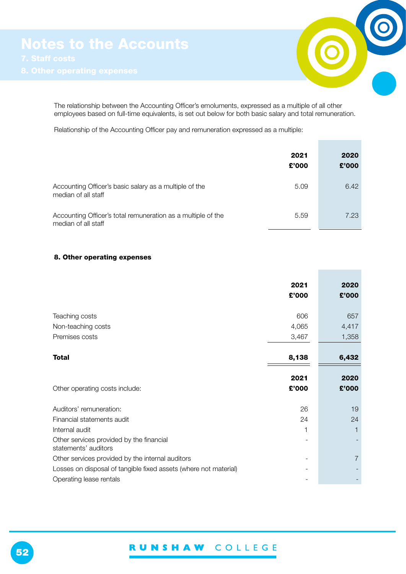

**Contract Contract** 

The relationship between the Accounting Officer's emoluments, expressed as a multiple of all other employees based on full-time equivalents, is set out below for both basic salary and total remuneration.

Relationship of the Accounting Officer pay and remuneration expressed as a multiple:

|                                                                                     | 2021<br>£'000 | 2020<br>£'000 |
|-------------------------------------------------------------------------------------|---------------|---------------|
| Accounting Officer's basic salary as a multiple of the<br>median of all staff       | 5.09          | 6.42          |
| Accounting Officer's total remuneration as a multiple of the<br>median of all staff | 5.59          | 7.23          |

#### 8. Other operating expenses

|                                                                  | 2021<br>£'000 | 2020<br>£'000 |
|------------------------------------------------------------------|---------------|---------------|
|                                                                  |               |               |
| Teaching costs                                                   | 606           | 657           |
| Non-teaching costs                                               | 4,065         | 4,417         |
| Premises costs                                                   | 3,467         | 1,358         |
|                                                                  |               |               |
| <b>Total</b>                                                     | 8,138         | 6,432         |
|                                                                  | 2021          | 2020          |
| Other operating costs include:                                   | £'000         | £'000         |
| Auditors' remuneration:                                          | 26            | 19            |
| Financial statements audit                                       | 24            | 24            |
| Internal audit                                                   | 1             | 1             |
| Other services provided by the financial<br>statements' auditors |               |               |
| Other services provided by the internal auditors                 |               | 7             |
| Losses on disposal of tangible fixed assets (where not material) |               |               |
| Operating lease rentals                                          |               |               |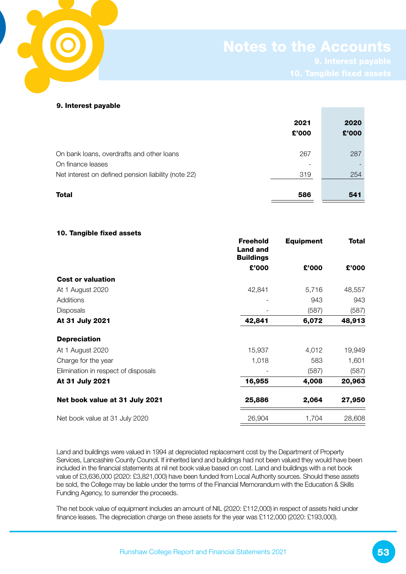

#### 9. Interest payable

|                                                     | 2021<br>£'000 | 2020<br>£'000 |
|-----------------------------------------------------|---------------|---------------|
| On bank loans, overdrafts and other loans           | 267           | 287           |
| On finance leases                                   |               |               |
| Net interest on defined pension liability (note 22) | 319           | 254           |
| <b>Total</b>                                        | 586           | 541           |

#### 10. Tangible fixed assets

|                                     | <b>Freehold</b><br><b>Land and</b><br><b>Buildings</b> | <b>Equipment</b> | Total  |
|-------------------------------------|--------------------------------------------------------|------------------|--------|
|                                     | £'000                                                  | £'000            | £'000  |
| <b>Cost or valuation</b>            |                                                        |                  |        |
| At 1 August 2020                    | 42,841                                                 | 5,716            | 48,557 |
| Additions                           |                                                        | 943              | 943    |
| <b>Disposals</b>                    |                                                        | (587)            | (587)  |
| At 31 July 2021                     | 42,841                                                 | 6,072            | 48,913 |
| <b>Depreciation</b>                 |                                                        |                  |        |
| At 1 August 2020                    | 15,937                                                 | 4,012            | 19,949 |
| Charge for the year                 | 1,018                                                  | 583              | 1,601  |
| Elimination in respect of disposals |                                                        | (587)            | (587)  |
| At 31 July 2021                     | 16,955                                                 | 4,008            | 20,963 |
| Net book value at 31 July 2021      | 25,886                                                 | 2,064            | 27,950 |
| Net book value at 31 July 2020      | 26,904                                                 | 1,704            | 28,608 |

Land and buildings were valued in 1994 at depreciated replacement cost by the Department of Property Services, Lancashire County Council. If inherited land and buildings had not been valued they would have been included in the financial statements at nil net book value based on cost. Land and buildings with a net book value of £3,636,000 (2020: £3,821,000) have been funded from Local Authority sources. Should these assets be sold, the College may be liable under the terms of the Financial Memorandum with the Education & Skills Funding Agency, to surrender the proceeds.

The net book value of equipment includes an amount of NIL (2020: £112,000) in respect of assets held under finance leases. The depreciation charge on these assets for the year was £112,000 (2020: £193,000).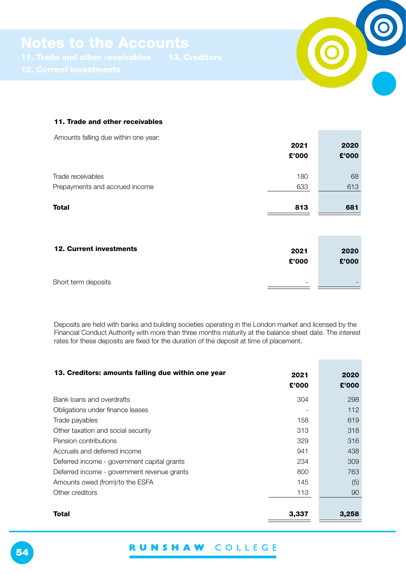Notes to the Accounts

**Contract Contract Contract** 

#### 11. Trade and other receivables

| Amounts falling due within one year: | 2021<br>£'000 | 2020<br>£'000 |
|--------------------------------------|---------------|---------------|
| Trade receivables                    | 180           | 68            |
| Prepayments and accrued income       | 633           | 613           |
| <b>Total</b>                         | 813           | 681           |
|                                      |               |               |
| <b>12. Current investments</b>       | <b>0004</b>   | <b>nnnn</b>   |

| <b>12. Current investments</b> | 2021                     | 2020  |
|--------------------------------|--------------------------|-------|
|                                | £'000                    | £'000 |
|                                |                          |       |
| Short term deposits            | $\overline{\phantom{0}}$ |       |

Deposits are held with banks and building societies operating in the London market and licensed by the Financial Conduct Authority with more than three months maturity at the balance sheet date. The interest rates for these deposits are fixed for the duration of the deposit at time of placement.

| 13. Creditors: amounts falling due within one year | 2021<br>£'000 | 2020<br>£'000 |
|----------------------------------------------------|---------------|---------------|
| Bank loans and overdrafts                          | 304           | 298           |
| Obligations under finance leases                   |               | 112           |
| Trade payables                                     | 158           | 619           |
| Other taxation and social security                 | 313           | 318           |
| Pension contributions                              | 329           | 316           |
| Accruals and deferred income                       | 941           | 438           |
| Deferred income - government capital grants        | 234           | 309           |
| Deferred income - government revenue grants        | 800           | 763           |
| Amounts owed (from)/to the ESFA                    | 145           | (5)           |
| Other creditors                                    | 113           | 90            |
|                                                    |               |               |
| Total                                              | 3,337         | 3,258         |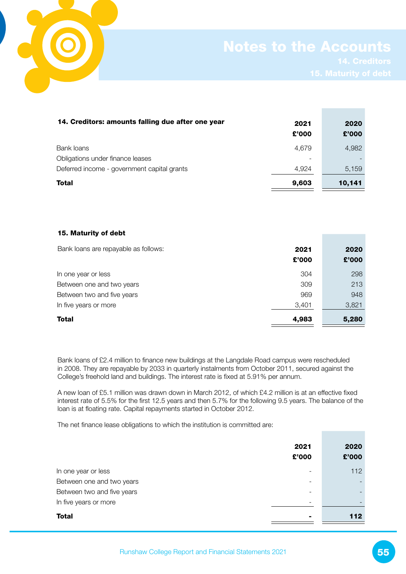

| 14. Creditors: amounts falling due after one year | 2021<br>£'000 | 2020<br>£'000 |
|---------------------------------------------------|---------------|---------------|
| Bank loans                                        | 4.679         | 4,982         |
| Obligations under finance leases                  |               |               |
| Deferred income - government capital grants       | 4,924         | 5,159         |
| Total                                             | 9,603         | 10,141        |

#### 15. Maturity of debt

| Bank loans are repayable as follows: | 2021<br>£'000 | 2020<br>£'000 |
|--------------------------------------|---------------|---------------|
| In one year or less                  | 304           | 298           |
| Between one and two years            | 309           | 213           |
| Between two and five years           | 969           | 948           |
| In five years or more                | 3,401         | 3,821         |
| <b>Total</b>                         | 4,983         | 5,280         |

Bank loans of £2.4 million to finance new buildings at the Langdale Road campus were rescheduled in 2008. They are repayable by 2033 in quarterly instalments from October 2011, secured against the College's freehold land and buildings. The interest rate is fixed at 5.91% per annum.

A new loan of £5.1 million was drawn down in March 2012, of which £4.2 million is at an effective fixed interest rate of 5.5% for the first 12.5 years and then 5.7% for the following 9.5 years. The balance of the loan is at floating rate. Capital repayments started in October 2012.

The net finance lease obligations to which the institution is committed are:

|                            | 2021<br>£'000  | 2020<br>£'000 |
|----------------------------|----------------|---------------|
| In one year or less        |                | 112           |
| Between one and two years  |                |               |
| Between two and five years |                |               |
| In five years or more      | -              |               |
| <b>Total</b>               | $\blacksquare$ | 112           |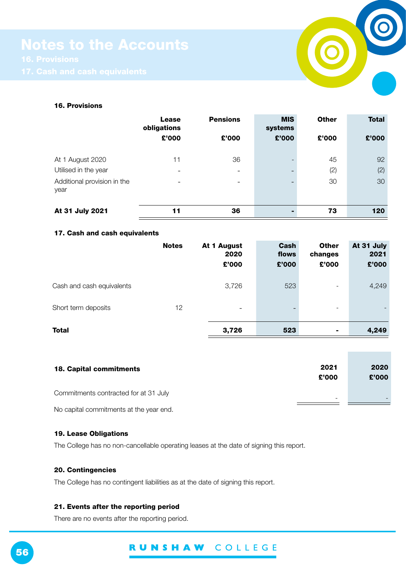

#### 16. Provisions

|                                     | Lease<br>obligations     | <b>Pensions</b>          | <b>MIS</b><br>systems | <b>Other</b> | <b>Total</b> |
|-------------------------------------|--------------------------|--------------------------|-----------------------|--------------|--------------|
|                                     | £'000                    | £'000                    | £'000                 | £'000        | £'000        |
| At 1 August 2020                    | 11                       | 36                       |                       | 45           | 92           |
| Utilised in the year                | $\overline{\phantom{a}}$ | $\overline{\phantom{a}}$ | $\qquad \qquad$       | (2)          | (2)          |
| Additional provision in the<br>year | -                        | $\qquad \qquad$          |                       | 30           | 30           |
| At 31 July 2021                     | 11                       | 36                       |                       | 73           | 120          |

#### 17. Cash and cash equivalents

|                           | <b>Notes</b> | At 1 August<br>2020<br>£'000 | Cash<br>flows<br>£'000 | <b>Other</b><br>changes<br>£'000 | At 31 July<br>2021<br>£'000 |
|---------------------------|--------------|------------------------------|------------------------|----------------------------------|-----------------------------|
| Cash and cash equivalents |              | 3,726                        | 523                    | $\overline{\phantom{a}}$         | 4,249                       |
| Short term deposits       | 12           |                              |                        | $\overline{\phantom{a}}$         |                             |
| <b>Total</b>              |              | 3,726                        | 523                    | ۰                                | 4,249                       |

| <b>18. Capital commitments</b>        | 2021<br>£'000            | 2020<br>£'000 |
|---------------------------------------|--------------------------|---------------|
| Commitments contracted for at 31 July | $\overline{\phantom{0}}$ |               |

No capital commitments at the year end.

#### 19. Lease Obligations

The College has no non-cancellable operating leases at the date of signing this report.

#### 20. Contingencies

The College has no contingent liabilities as at the date of signing this report.

#### 21. Events after the reporting period

There are no events after the reporting period.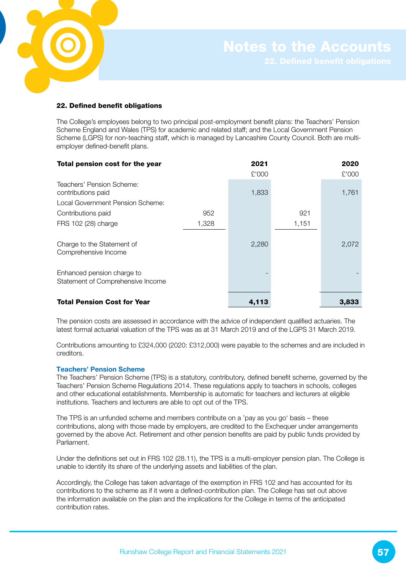

#### 22. Defined benefit obligations

The College's employees belong to two principal post-employment benefit plans: the Teachers' Pension Scheme England and Wales (TPS) for academic and related staff; and the Local Government Pension Scheme (LGPS) for non-teaching staff, which is managed by Lancashire County Council. Both are multiemployer defined-benefit plans.

| Total pension cost for the year                                 |       | 2021  |       | 2020  |
|-----------------------------------------------------------------|-------|-------|-------|-------|
|                                                                 |       | £'000 |       | £'000 |
| Teachers' Pension Scheme:<br>contributions paid                 |       | 1,833 |       | 1,761 |
| Local Government Pension Scheme:                                |       |       |       |       |
| Contributions paid                                              | 952   |       | 921   |       |
| FRS 102 (28) charge                                             | 1,328 |       | 1,151 |       |
| Charge to the Statement of<br>Comprehensive Income              |       | 2,280 |       | 2,072 |
| Enhanced pension charge to<br>Statement of Comprehensive Income |       |       |       |       |
| <b>Total Pension Cost for Year</b>                              |       | 4,113 |       | 3,833 |

The pension costs are assessed in accordance with the advice of independent qualified actuaries. The latest formal actuarial valuation of the TPS was as at 31 March 2019 and of the LGPS 31 March 2019.

Contributions amounting to £324,000 (2020: £312,000) were payable to the schemes and are included in creditors.

#### Teachers' Pension Scheme

The Teachers' Pension Scheme (TPS) is a statutory, contributory, defined benefit scheme, governed by the Teachers' Pension Scheme Regulations 2014. These regulations apply to teachers in schools, colleges and other educational establishments. Membership is automatic for teachers and lecturers at eligible institutions. Teachers and lecturers are able to opt out of the TPS.

The TPS is an unfunded scheme and members contribute on a 'pay as you go' basis – these contributions, along with those made by employers, are credited to the Exchequer under arrangements governed by the above Act. Retirement and other pension benefits are paid by public funds provided by Parliament.

Under the definitions set out in FRS 102 (28.11), the TPS is a multi-employer pension plan. The College is unable to identify its share of the underlying assets and liabilities of the plan.

Accordingly, the College has taken advantage of the exemption in FRS 102 and has accounted for its contributions to the scheme as if it were a defined-contribution plan. The College has set out above the information available on the plan and the implications for the College in terms of the anticipated contribution rates.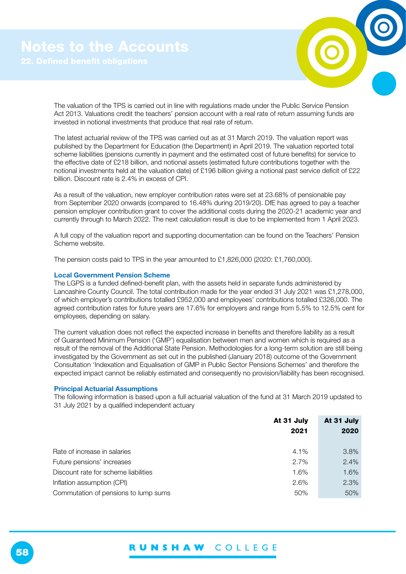

The valuation of the TPS is carried out in line with regulations made under the Public Service Pension Act 2013. Valuations credit the teachers' pension account with a real rate of return assuming funds are invested in notional investments that produce that real rate of return.

The latest actuarial review of the TPS was carried out as at 31 March 2019. The valuation report was published by the Department for Education (the Department) in April 2019. The valuation reported total scheme liabilities (pensions currently in payment and the estimated cost of future benefits) for service to the effective date of £218 billion, and notional assets (estimated future contributions together with the notional investments held at the valuation date) of £196 billion giving a notional past service deficit of £22 billion. Discount rate is 2.4% in excess of CPI.

As a result of the valuation, new employer contribution rates were set at 23.68% of pensionable pay from September 2020 onwards (compared to 16.48% during 2019/20). DfE has agreed to pay a teacher pension employer contribution grant to cover the additional costs during the 2020-21 academic year and currently through to March 2022. The next calculation result is due to be implemented from 1 April 2023.

A full copy of the valuation report and supporting documentation can be found on the Teachers' Pension Scheme website.

The pension costs paid to TPS in the year amounted to £1,826,000 (2020: £1,760,000).

#### Local Government Pension Scheme

The LGPS is a funded defined-benefit plan, with the assets held in separate funds administered by Lancashire County Council. The total contribution made for the year ended 31 July 2021 was £1,278,000, of which employer's contributions totalled £952,000 and employees' contributions totalled £326,000. The agreed contribution rates for future years are 17.6% for employers and range from 5.5% to 12.5% cent for employees, depending on salary.

The current valuation does not reflect the expected increase in benefits and therefore liability as a result of Guaranteed Minimum Pension ('GMP') equalisation between men and women which is required as a result of the removal of the Additional State Pension. Methodologies for a long-term solution are still being investigated by the Government as set out in the published (January 2018) outcome of the Government Consultation 'Indexation and Equalisation of GMP in Public Sector Pensions Schemes' and therefore the expected impact cannot be reliably estimated and consequently no provision/liability has been recognised.

#### Principal Actuarial Assumptions

The following information is based upon a full actuarial valuation of the fund at 31 March 2019 updated to 31 July 2021 by a qualified independent actuary

|                                      | At 31 July | At 31 July |
|--------------------------------------|------------|------------|
|                                      | 2021       | 2020       |
|                                      |            |            |
| Rate of increase in salaries         | 4.1%       | 3.8%       |
| Future pensions' increases           | 2.7%       | 2.4%       |
| Discount rate for scheme liabilities | 1.6%       | 1.6%       |
| Inflation assumption (CPI)           | 2.6%       | 2.3%       |
| Commutation of pensions to lump sums | 50%        | 50%        |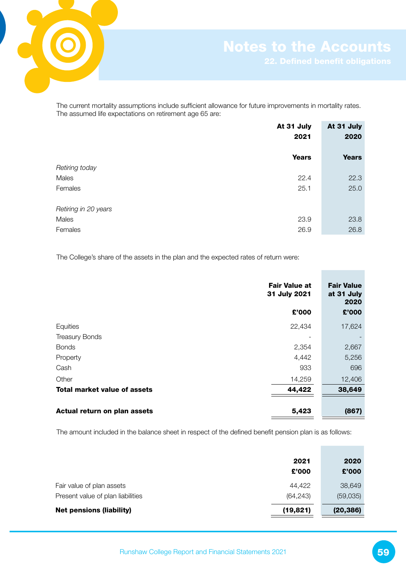

The current mortality assumptions include sufficient allowance for future improvements in mortality rates. The assumed life expectations on retirement age 65 are:

|                      | At 31 July<br>2021 | At 31 July<br>2020 |
|----------------------|--------------------|--------------------|
|                      | <b>Years</b>       | <b>Years</b>       |
| Retiring today       |                    |                    |
| Males                | 22.4               | 22.3               |
| Females              | 25.1               | 25.0               |
| Retiring in 20 years |                    |                    |
| Males                | 23.9               | 23.8               |
| Females              | 26.9               | 26.8               |

The College's share of the assets in the plan and the expected rates of return were:

|                                     | <b>Fair Value at</b><br>31 July 2021 | <b>Fair Value</b><br>at 31 July<br>2020 |
|-------------------------------------|--------------------------------------|-----------------------------------------|
|                                     | £'000                                | £'000                                   |
| Equities                            | 22,434                               | 17,624                                  |
| <b>Treasury Bonds</b>               |                                      |                                         |
| <b>Bonds</b>                        | 2,354                                | 2,667                                   |
| Property                            | 4,442                                | 5,256                                   |
| Cash                                | 933                                  | 696                                     |
| Other                               | 14,259                               | 12,406                                  |
| <b>Total market value of assets</b> | 44,422                               | 38,649                                  |
| Actual return on plan assets        | 5,423                                | (867)                                   |

The amount included in the balance sheet in respect of the defined benefit pension plan is as follows:

|                                   | 2021<br>£'000 | 2020<br>£'000 |
|-----------------------------------|---------------|---------------|
| Fair value of plan assets         | 44,422        | 38,649        |
| Present value of plan liabilities | (64, 243)     | (59,035)      |
| <b>Net pensions (liability)</b>   | (19, 821)     | (20, 386)     |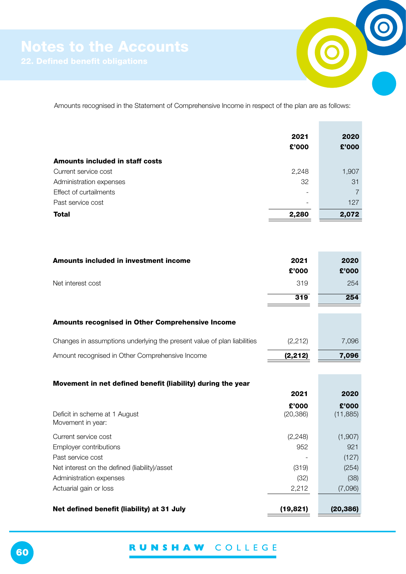Amounts recognised in the Statement of Comprehensive Income in respect of the plan are as follows:

**COL** 

| <b>Amounts included in staff costs</b> | 2021<br>£'000            | 2020<br>£'000 |
|----------------------------------------|--------------------------|---------------|
| Current service cost                   | 2,248                    | 1,907         |
| Administration expenses                | 32                       | 31            |
| Effect of curtailments                 | -                        |               |
| Past service cost                      | $\overline{\phantom{a}}$ | 127           |
| Total                                  | 2,280                    | 2,072         |

| Amounts included in investment income                   | 2021  | 2020  |
|---------------------------------------------------------|-------|-------|
|                                                         | £'000 | £'000 |
| Net interest cost                                       | 319   | 254   |
|                                                         | 319   | 254   |
|                                                         |       |       |
| <b>Amounts recognised in Other Comprehensive Income</b> |       |       |

| Changes in assumptions underlying the present value of plan liabilities | (2,212)  | 7,096 |
|-------------------------------------------------------------------------|----------|-------|
| Amount recognised in Other Comprehensive Income                         | (2, 212) | 7.096 |

#### Movement in net defined benefit (liability) during the year

|                                                    | 2021               | 2020               |
|----------------------------------------------------|--------------------|--------------------|
| Deficit in scheme at 1 August<br>Movement in year: | £'000<br>(20, 386) | £'000<br>(11, 885) |
| Current service cost                               | (2, 248)           | (1,907)            |
| Employer contributions                             | 952                | 921                |
| Past service cost                                  |                    | (127)              |
| Net interest on the defined (liability)/asset      | (319)              | (254)              |
| Administration expenses                            | (32)               | (38)               |
| Actuarial gain or loss                             | 2,212              | (7,096)            |
| Net defined benefit (liability) at 31 July         | (19, 821)          | (20, 386)          |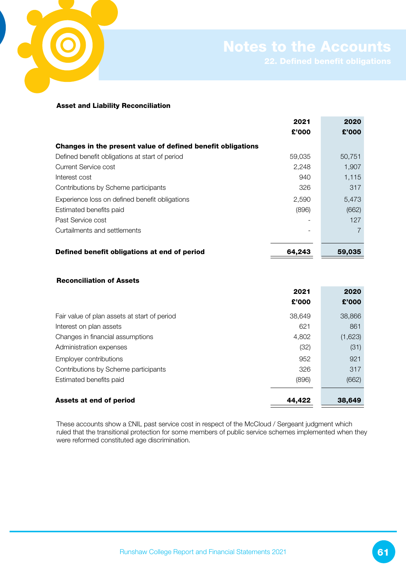

#### Asset and Liability Reconciliation

|                                                             | 2021   | 2020   |
|-------------------------------------------------------------|--------|--------|
|                                                             | £'000  | £'000  |
| Changes in the present value of defined benefit obligations |        |        |
| Defined benefit obligations at start of period              | 59,035 | 50.751 |
| Current Service cost                                        | 2,248  | 1,907  |
| Interest cost                                               | 940    | 1,115  |
| Contributions by Scheme participants                        | 326    | 317    |
| Experience loss on defined benefit obligations              | 2,590  | 5,473  |
| Estimated benefits paid                                     | (896)  | (662)  |
| Past Service cost                                           |        | 127    |
| Curtailments and settlements                                |        |        |
|                                                             |        |        |
| Defined benefit obligations at end of period                | 64,243 | 59,035 |

#### Reconciliation of Assets

|                                              | 2021   | 2020    |
|----------------------------------------------|--------|---------|
|                                              | £'000  | £'000   |
| Fair value of plan assets at start of period | 38.649 | 38,866  |
| Interest on plan assets                      | 621    | 861     |
| Changes in financial assumptions             | 4,802  | (1,623) |
| Administration expenses                      | (32)   | (31)    |
| Employer contributions                       | 952    | 921     |
| Contributions by Scheme participants         | 326    | 317     |
| Estimated benefits paid                      | (896)  | (662)   |
| Assets at end of period                      | 44.422 | 38.649  |

These accounts show a £NIL past service cost in respect of the McCloud / Sergeant judgment which ruled that the transitional protection for some members of public service schemes implemented when they were reformed constituted age discrimination.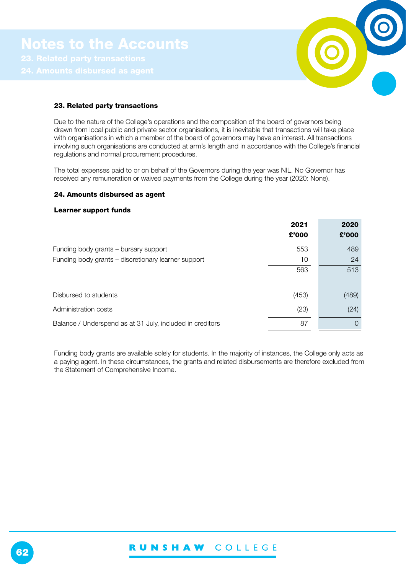

#### 23. Related party transactions

Due to the nature of the College's operations and the composition of the board of governors being drawn from local public and private sector organisations, it is inevitable that transactions will take place with organisations in which a member of the board of governors may have an interest. All transactions involving such organisations are conducted at arm's length and in accordance with the College's financial regulations and normal procurement procedures.

The total expenses paid to or on behalf of the Governors during the year was NIL. No Governor has received any remuneration or waived payments from the College during the year (2020: None).

#### 24. Amounts disbursed as agent

#### Learner support funds

|                                                           | 2021<br>£'000 | 2020<br>£'000 |
|-----------------------------------------------------------|---------------|---------------|
|                                                           |               |               |
| Funding body grants - bursary support                     | 553           | 489           |
| Funding body grants – discretionary learner support       | 10            | 24            |
|                                                           | 563           | 513           |
|                                                           |               |               |
| Disbursed to students                                     | (453)         | (489)         |
| Administration costs                                      | (23)          | (24)          |
| Balance / Underspend as at 31 July, included in creditors | 87            | O             |

Funding body grants are available solely for students. In the majority of instances, the College only acts as a paying agent. In these circumstances, the grants and related disbursements are therefore excluded from the Statement of Comprehensive Income.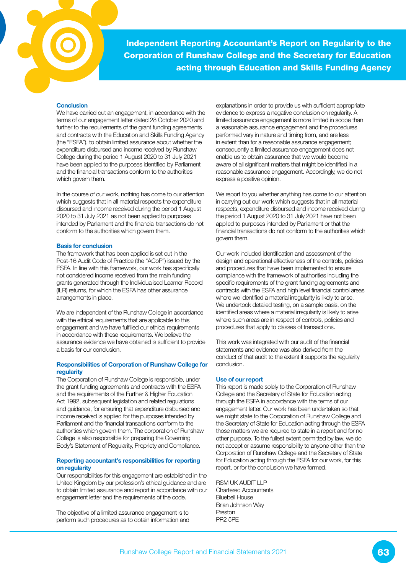

Independent Reporting Accountant's Report on Regularity to the Corporation of Runshaw College and the Secretary for Education acting through Education and Skills Funding Agency

#### **Conclusion**

We have carried out an engagement, in accordance with the terms of our engagement letter dated 28 October 2020 and further to the requirements of the grant funding agreements and contracts with the Education and Skills Funding Agency (the "ESFA"), to obtain limited assurance about whether the expenditure disbursed and income received by Runshaw College during the period 1 August 2020 to 31 July 2021 have been applied to the purposes identified by Parliament and the financial transactions conform to the authorities which govern them.

In the course of our work, nothing has come to our attention which suggests that in all material respects the expenditure disbursed and income received during the period 1 August 2020 to 31 July 2021 as not been applied to purposes intended by Parliament and the financial transactions do not conform to the authorities which govern them.

#### Basis for conclusion

The framework that has been applied is set out in the Post-16 Audit Code of Practice (the "ACoP") issued by the ESFA. In line with this framework, our work has specifically not considered income received from the main funding grants generated through the Individualised Learner Record (ILR) returns, for which the ESFA has other assurance arrangements in place.

We are independent of the Runshaw College in accordance with the ethical requirements that are applicable to this engagement and we have fulfilled our ethical requirements in accordance with these requirements. We believe the assurance evidence we have obtained is sufficient to provide a basis for our conclusion.

#### Responsibilities of Corporation of Runshaw College for regularity

The Corporation of Runshaw College is responsible, under the grant funding agreements and contracts with the ESFA and the requirements of the Further & Higher Education Act 1992, subsequent legislation and related regulations and guidance, for ensuring that expenditure disbursed and income received is applied for the purposes intended by Parliament and the financial transactions conform to the authorities which govern them. The corporation of Runshaw College is also responsible for preparing the Governing Body's Statement of Regularity, Propriety and Compliance.

#### Reporting accountant's responsibilities for reporting on regularity

Our responsibilities for this engagement are established in the United Kingdom by our profession's ethical guidance and are to obtain limited assurance and report in accordance with our engagement letter and the requirements of the code.

The objective of a limited assurance engagement is to perform such procedures as to obtain information and

explanations in order to provide us with sufficient appropriate evidence to express a negative conclusion on regularity. A limited assurance engagement is more limited in scope than a reasonable assurance engagement and the procedures performed vary in nature and timing from, and are less in extent than for a reasonable assurance engagement; consequently a limited assurance engagement does not enable us to obtain assurance that we would become aware of all significant matters that might be identified in a reasonable assurance engagement. Accordingly, we do not express a positive opinion.

We report to you whether anything has come to our attention in carrying out our work which suggests that in all material respects, expenditure disbursed and income received during the period 1 August 2020 to 31 July 2021 have not been applied to purposes intended by Parliament or that the financial transactions do not conform to the authorities which govern them.

Our work included identification and assessment of the design and operational effectiveness of the controls, policies and procedures that have been implemented to ensure compliance with the framework of authorities including the specific requirements of the grant funding agreements and contracts with the ESFA and high level financial control areas where we identified a material irregularity is likely to arise. We undertook detailed testing, on a sample basis, on the identified areas where a material irregularity is likely to arise where such areas are in respect of controls, policies and procedures that apply to classes of transactions.

This work was integrated with our audit of the financial statements and evidence was also derived from the conduct of that audit to the extent it supports the regularity conclusion.

#### Use of our report

This report is made solely to the Corporation of Runshaw College and the Secretary of State for Education acting through the ESFA in accordance with the terms of our engagement letter. Our work has been undertaken so that we might state to the Corporation of Runshaw College and the Secretary of State for Education acting through the ESFA those matters we are required to state in a report and for no other purpose. To the fullest extent permitted by law, we do not accept or assume responsibility to anyone other than the Corporation of Runshaw College and the Secretary of State for Education acting through the ESFA for our work, for this report, or for the conclusion we have formed.

RSM UK AUDIT LLP Chartered Accountants Bluebell House Brian Johnson Way Preston PR2 5PE